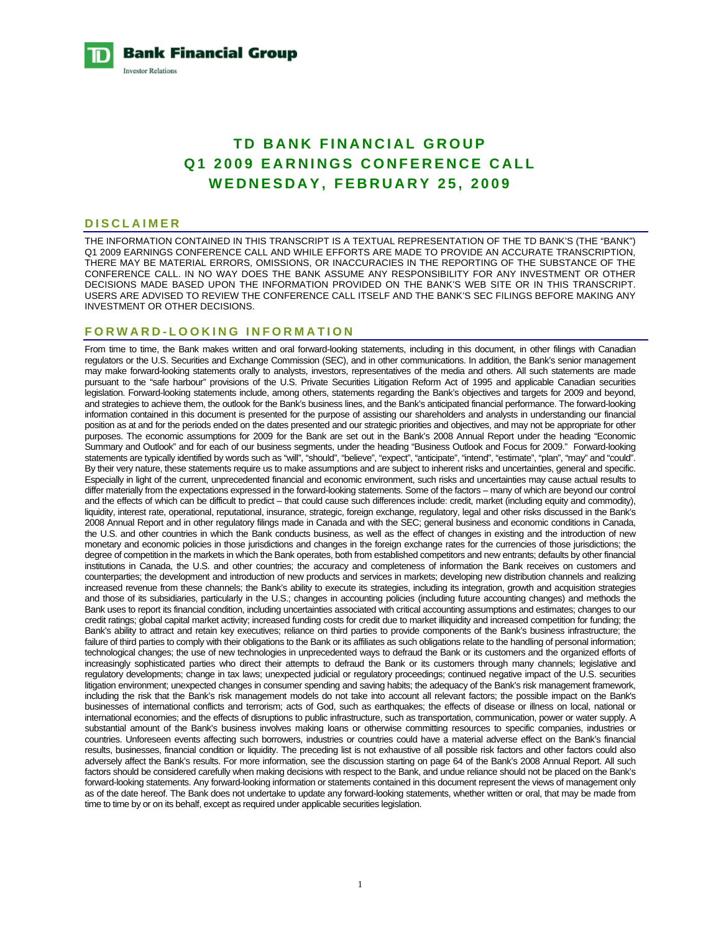**Bank Financial Group Investor Relations** 

# **TD BANK FINANCIAL GROUP Q1 2009 EARNINGS CONFERENCE CALL WEDNESDAY, FEBRUARY 25, 2009**

#### **DISCLAIMER**

THE INFORMATION CONTAINED IN THIS TRANSCRIPT IS A TEXTUAL REPRESENTATION OF THE TD BANK'S (THE "BANK") Q1 2009 EARNINGS CONFERENCE CALL AND WHILE EFFORTS ARE MADE TO PROVIDE AN ACCURATE TRANSCRIPTION, THERE MAY BE MATERIAL ERRORS, OMISSIONS, OR INACCURACIES IN THE REPORTING OF THE SUBSTANCE OF THE CONFERENCE CALL. IN NO WAY DOES THE BANK ASSUME ANY RESPONSIBILITY FOR ANY INVESTMENT OR OTHER DECISIONS MADE BASED UPON THE INFORMATION PROVIDED ON THE BANK'S WEB SITE OR IN THIS TRANSCRIPT. USERS ARE ADVISED TO REVIEW THE CONFERENCE CALL ITSELF AND THE BANK'S SEC FILINGS BEFORE MAKING ANY INVESTMENT OR OTHER DECISIONS.

# **FORWARD-LOOKING INFORMATION**

From time to time, the Bank makes written and oral forward-looking statements, including in this document, in other filings with Canadian regulators or the U.S. Securities and Exchange Commission (SEC), and in other communications. In addition, the Bank's senior management may make forward-looking statements orally to analysts, investors, representatives of the media and others. All such statements are made pursuant to the "safe harbour" provisions of the U.S. Private Securities Litigation Reform Act of 1995 and applicable Canadian securities legislation. Forward-looking statements include, among others, statements regarding the Bank's objectives and targets for 2009 and beyond, and strategies to achieve them, the outlook for the Bank's business lines, and the Bank's anticipated financial performance. The forward-looking information contained in this document is presented for the purpose of assisting our shareholders and analysts in understanding our financial position as at and for the periods ended on the dates presented and our strategic priorities and objectives, and may not be appropriate for other purposes. The economic assumptions for 2009 for the Bank are set out in the Bank's 2008 Annual Report under the heading "Economic Summary and Outlook" and for each of our business segments, under the heading "Business Outlook and Focus for 2009." Forward-looking statements are typically identified by words such as "will", "should", "believe", "expect", "anticipate", "intend", "estimate", "plan", "may" and "could". By their very nature, these statements require us to make assumptions and are subject to inherent risks and uncertainties, general and specific. Especially in light of the current, unprecedented financial and economic environment, such risks and uncertainties may cause actual results to differ materially from the expectations expressed in the forward-looking statements. Some of the factors – many of which are beyond our control and the effects of which can be difficult to predict – that could cause such differences include: credit, market (including equity and commodity), liquidity, interest rate, operational, reputational, insurance, strategic, foreign exchange, regulatory, legal and other risks discussed in the Bank's 2008 Annual Report and in other regulatory filings made in Canada and with the SEC; general business and economic conditions in Canada, the U.S. and other countries in which the Bank conducts business, as well as the effect of changes in existing and the introduction of new monetary and economic policies in those jurisdictions and changes in the foreign exchange rates for the currencies of those jurisdictions; the degree of competition in the markets in which the Bank operates, both from established competitors and new entrants; defaults by other financial institutions in Canada, the U.S. and other countries; the accuracy and completeness of information the Bank receives on customers and counterparties; the development and introduction of new products and services in markets; developing new distribution channels and realizing increased revenue from these channels; the Bank's ability to execute its strategies, including its integration, growth and acquisition strategies and those of its subsidiaries, particularly in the U.S.; changes in accounting policies (including future accounting changes) and methods the Bank uses to report its financial condition, including uncertainties associated with critical accounting assumptions and estimates; changes to our credit ratings; global capital market activity; increased funding costs for credit due to market illiquidity and increased competition for funding; the Bank's ability to attract and retain key executives; reliance on third parties to provide components of the Bank's business infrastructure; the failure of third parties to comply with their obligations to the Bank or its affiliates as such obligations relate to the handling of personal information; technological changes; the use of new technologies in unprecedented ways to defraud the Bank or its customers and the organized efforts of increasingly sophisticated parties who direct their attempts to defraud the Bank or its customers through many channels; legislative and regulatory developments; change in tax laws; unexpected judicial or regulatory proceedings; continued negative impact of the U.S. securities litigation environment; unexpected changes in consumer spending and saving habits; the adequacy of the Bank's risk management framework, including the risk that the Bank's risk management models do not take into account all relevant factors; the possible impact on the Bank's businesses of international conflicts and terrorism; acts of God, such as earthquakes; the effects of disease or illness on local, national or international economies; and the effects of disruptions to public infrastructure, such as transportation, communication, power or water supply. A substantial amount of the Bank's business involves making loans or otherwise committing resources to specific companies, industries or countries. Unforeseen events affecting such borrowers, industries or countries could have a material adverse effect on the Bank's financial results, businesses, financial condition or liquidity. The preceding list is not exhaustive of all possible risk factors and other factors could also adversely affect the Bank's results. For more information, see the discussion starting on page 64 of the Bank's 2008 Annual Report. All such factors should be considered carefully when making decisions with respect to the Bank, and undue reliance should not be placed on the Bank's forward-looking statements. Any forward-looking information or statements contained in this document represent the views of management only as of the date hereof. The Bank does not undertake to update any forward-looking statements, whether written or oral, that may be made from time to time by or on its behalf, except as required under applicable securities legislation.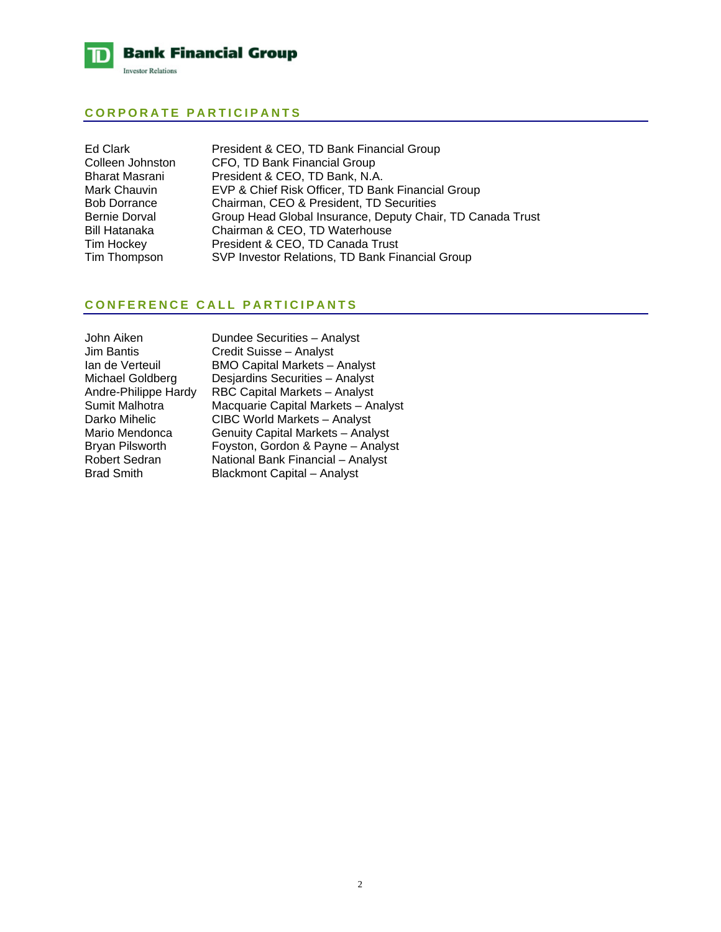

# **CORPORATE PARTICIPANTS**

| Ed Clark            | President & CEO, TD Bank Financial Group                   |
|---------------------|------------------------------------------------------------|
| Colleen Johnston    | CFO, TD Bank Financial Group                               |
| Bharat Masrani      | President & CEO, TD Bank, N.A.                             |
| Mark Chauvin        | EVP & Chief Risk Officer, TD Bank Financial Group          |
| <b>Bob Dorrance</b> | Chairman, CEO & President, TD Securities                   |
| Bernie Dorval       | Group Head Global Insurance, Deputy Chair, TD Canada Trust |
| Bill Hatanaka       | Chairman & CEO, TD Waterhouse                              |
| Tim Hockey          | President & CEO, TD Canada Trust                           |
| Tim Thompson        | SVP Investor Relations, TD Bank Financial Group            |
|                     |                                                            |

# **CONFERENCE CALL PARTICIPANTS**

| John Aiken           |
|----------------------|
| Jim Bantis           |
| lan de Verteuil      |
| Michael Goldberg     |
| Andre-Philippe Hardy |
| Sumit Malhotra       |
| Darko Mihelic        |
| Mario Mendonca       |
| Bryan Pilsworth      |
| Robert Sedran        |
| <b>Brad Smith</b>    |

Dundee Securities – Analyst Credit Suisse – Analyst BMO Capital Markets – Analyst Desjardins Securities – Analyst RBC Capital Markets – Analyst Macquarie Capital Markets – Analyst CIBC World Markets – Analyst Genuity Capital Markets – Analyst Foyston, Gordon & Payne – Analyst National Bank Financial – Analyst Blackmont Capital – Analyst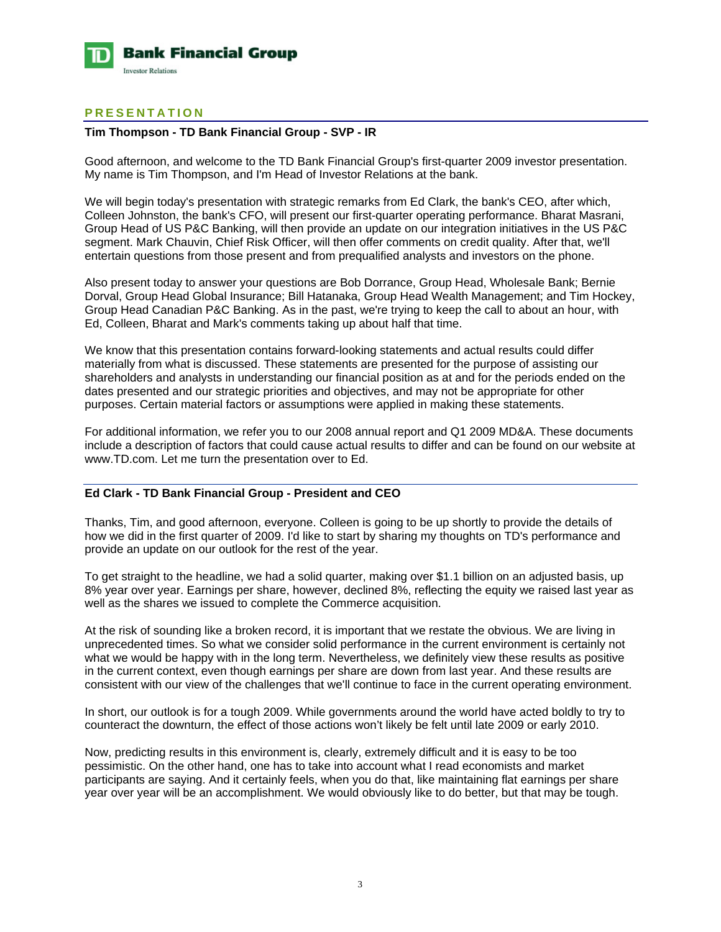

# **PRESENTATION**

# **Tim Thompson - TD Bank Financial Group - SVP - IR**

Good afternoon, and welcome to the TD Bank Financial Group's first-quarter 2009 investor presentation. My name is Tim Thompson, and I'm Head of Investor Relations at the bank.

We will begin today's presentation with strategic remarks from Ed Clark, the bank's CEO, after which, Colleen Johnston, the bank's CFO, will present our first-quarter operating performance. Bharat Masrani, Group Head of US P&C Banking, will then provide an update on our integration initiatives in the US P&C segment. Mark Chauvin, Chief Risk Officer, will then offer comments on credit quality. After that, we'll entertain questions from those present and from prequalified analysts and investors on the phone.

Also present today to answer your questions are Bob Dorrance, Group Head, Wholesale Bank; Bernie Dorval, Group Head Global Insurance; Bill Hatanaka, Group Head Wealth Management; and Tim Hockey, Group Head Canadian P&C Banking. As in the past, we're trying to keep the call to about an hour, with Ed, Colleen, Bharat and Mark's comments taking up about half that time.

We know that this presentation contains forward-looking statements and actual results could differ materially from what is discussed. These statements are presented for the purpose of assisting our shareholders and analysts in understanding our financial position as at and for the periods ended on the dates presented and our strategic priorities and objectives, and may not be appropriate for other purposes. Certain material factors or assumptions were applied in making these statements.

For additional information, we refer you to our 2008 annual report and Q1 2009 MD&A. These documents include a description of factors that could cause actual results to differ and can be found on our website at www.TD.com. Let me turn the presentation over to Ed.

# **Ed Clark - TD Bank Financial Group - President and CEO**

Thanks, Tim, and good afternoon, everyone. Colleen is going to be up shortly to provide the details of how we did in the first quarter of 2009. I'd like to start by sharing my thoughts on TD's performance and provide an update on our outlook for the rest of the year.

To get straight to the headline, we had a solid quarter, making over \$1.1 billion on an adjusted basis, up 8% year over year. Earnings per share, however, declined 8%, reflecting the equity we raised last year as well as the shares we issued to complete the Commerce acquisition.

At the risk of sounding like a broken record, it is important that we restate the obvious. We are living in unprecedented times. So what we consider solid performance in the current environment is certainly not what we would be happy with in the long term. Nevertheless, we definitely view these results as positive in the current context, even though earnings per share are down from last year. And these results are consistent with our view of the challenges that we'll continue to face in the current operating environment.

In short, our outlook is for a tough 2009. While governments around the world have acted boldly to try to counteract the downturn, the effect of those actions won't likely be felt until late 2009 or early 2010.

Now, predicting results in this environment is, clearly, extremely difficult and it is easy to be too pessimistic. On the other hand, one has to take into account what I read economists and market participants are saying. And it certainly feels, when you do that, like maintaining flat earnings per share year over year will be an accomplishment. We would obviously like to do better, but that may be tough.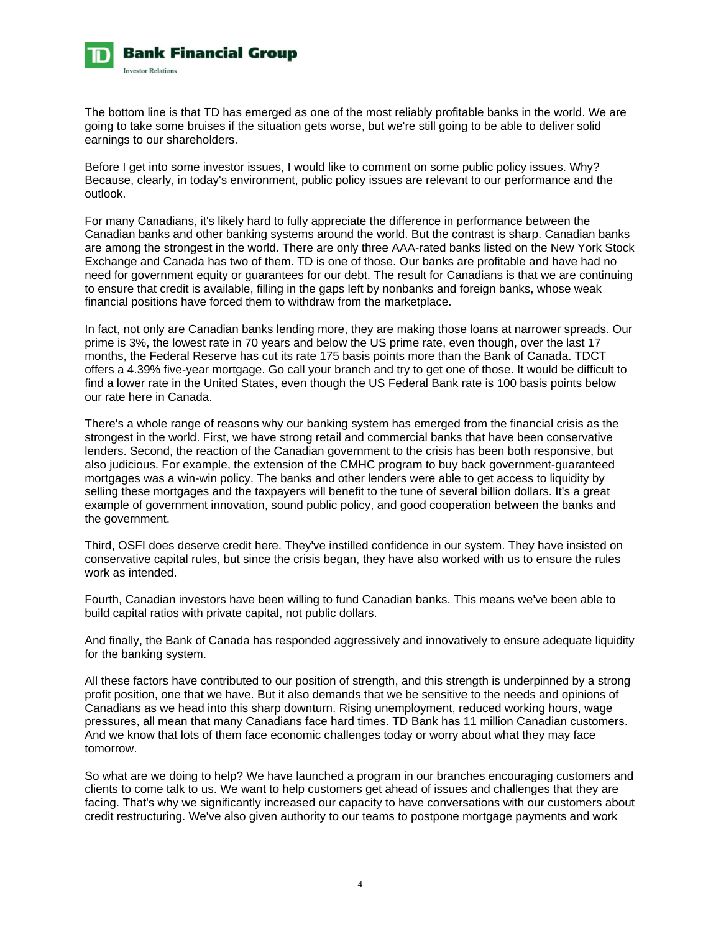

The bottom line is that TD has emerged as one of the most reliably profitable banks in the world. We are going to take some bruises if the situation gets worse, but we're still going to be able to deliver solid earnings to our shareholders.

Before I get into some investor issues, I would like to comment on some public policy issues. Why? Because, clearly, in today's environment, public policy issues are relevant to our performance and the outlook.

For many Canadians, it's likely hard to fully appreciate the difference in performance between the Canadian banks and other banking systems around the world. But the contrast is sharp. Canadian banks are among the strongest in the world. There are only three AAA-rated banks listed on the New York Stock Exchange and Canada has two of them. TD is one of those. Our banks are profitable and have had no need for government equity or guarantees for our debt. The result for Canadians is that we are continuing to ensure that credit is available, filling in the gaps left by nonbanks and foreign banks, whose weak financial positions have forced them to withdraw from the marketplace.

In fact, not only are Canadian banks lending more, they are making those loans at narrower spreads. Our prime is 3%, the lowest rate in 70 years and below the US prime rate, even though, over the last 17 months, the Federal Reserve has cut its rate 175 basis points more than the Bank of Canada. TDCT offers a 4.39% five-year mortgage. Go call your branch and try to get one of those. It would be difficult to find a lower rate in the United States, even though the US Federal Bank rate is 100 basis points below our rate here in Canada.

There's a whole range of reasons why our banking system has emerged from the financial crisis as the strongest in the world. First, we have strong retail and commercial banks that have been conservative lenders. Second, the reaction of the Canadian government to the crisis has been both responsive, but also judicious. For example, the extension of the CMHC program to buy back government-guaranteed mortgages was a win-win policy. The banks and other lenders were able to get access to liquidity by selling these mortgages and the taxpayers will benefit to the tune of several billion dollars. It's a great example of government innovation, sound public policy, and good cooperation between the banks and the government.

Third, OSFI does deserve credit here. They've instilled confidence in our system. They have insisted on conservative capital rules, but since the crisis began, they have also worked with us to ensure the rules work as intended.

Fourth, Canadian investors have been willing to fund Canadian banks. This means we've been able to build capital ratios with private capital, not public dollars.

And finally, the Bank of Canada has responded aggressively and innovatively to ensure adequate liquidity for the banking system.

All these factors have contributed to our position of strength, and this strength is underpinned by a strong profit position, one that we have. But it also demands that we be sensitive to the needs and opinions of Canadians as we head into this sharp downturn. Rising unemployment, reduced working hours, wage pressures, all mean that many Canadians face hard times. TD Bank has 11 million Canadian customers. And we know that lots of them face economic challenges today or worry about what they may face tomorrow.

So what are we doing to help? We have launched a program in our branches encouraging customers and clients to come talk to us. We want to help customers get ahead of issues and challenges that they are facing. That's why we significantly increased our capacity to have conversations with our customers about credit restructuring. We've also given authority to our teams to postpone mortgage payments and work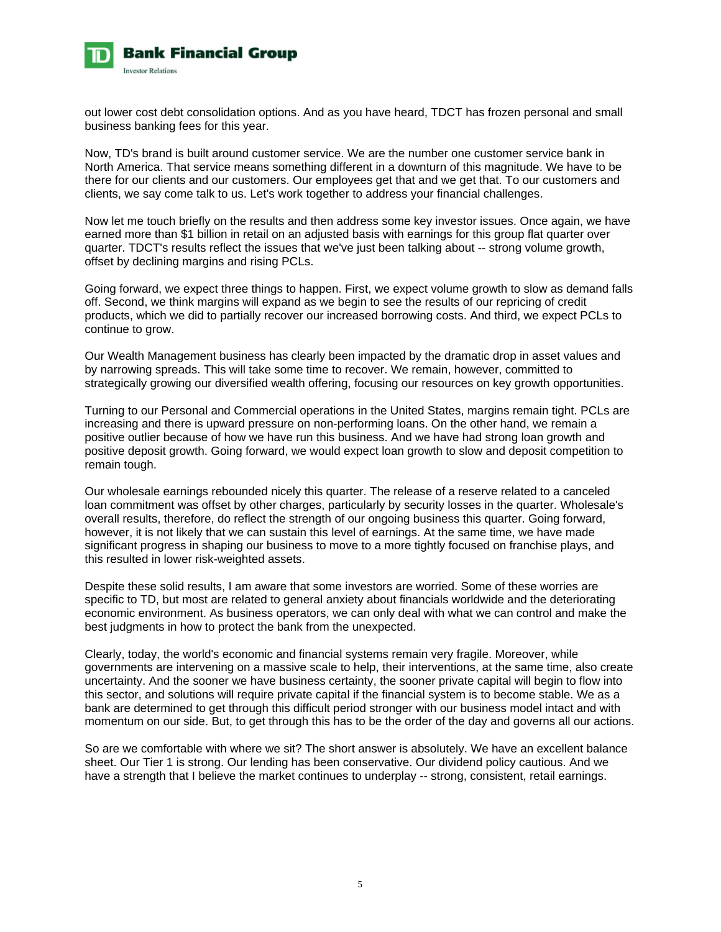

out lower cost debt consolidation options. And as you have heard, TDCT has frozen personal and small business banking fees for this year.

Now, TD's brand is built around customer service. We are the number one customer service bank in North America. That service means something different in a downturn of this magnitude. We have to be there for our clients and our customers. Our employees get that and we get that. To our customers and clients, we say come talk to us. Let's work together to address your financial challenges.

Now let me touch briefly on the results and then address some key investor issues. Once again, we have earned more than \$1 billion in retail on an adjusted basis with earnings for this group flat quarter over quarter. TDCT's results reflect the issues that we've just been talking about -- strong volume growth, offset by declining margins and rising PCLs.

Going forward, we expect three things to happen. First, we expect volume growth to slow as demand falls off. Second, we think margins will expand as we begin to see the results of our repricing of credit products, which we did to partially recover our increased borrowing costs. And third, we expect PCLs to continue to grow.

Our Wealth Management business has clearly been impacted by the dramatic drop in asset values and by narrowing spreads. This will take some time to recover. We remain, however, committed to strategically growing our diversified wealth offering, focusing our resources on key growth opportunities.

Turning to our Personal and Commercial operations in the United States, margins remain tight. PCLs are increasing and there is upward pressure on non-performing loans. On the other hand, we remain a positive outlier because of how we have run this business. And we have had strong loan growth and positive deposit growth. Going forward, we would expect loan growth to slow and deposit competition to remain tough.

Our wholesale earnings rebounded nicely this quarter. The release of a reserve related to a canceled loan commitment was offset by other charges, particularly by security losses in the quarter. Wholesale's overall results, therefore, do reflect the strength of our ongoing business this quarter. Going forward, however, it is not likely that we can sustain this level of earnings. At the same time, we have made significant progress in shaping our business to move to a more tightly focused on franchise plays, and this resulted in lower risk-weighted assets.

Despite these solid results, I am aware that some investors are worried. Some of these worries are specific to TD, but most are related to general anxiety about financials worldwide and the deteriorating economic environment. As business operators, we can only deal with what we can control and make the best judgments in how to protect the bank from the unexpected.

Clearly, today, the world's economic and financial systems remain very fragile. Moreover, while governments are intervening on a massive scale to help, their interventions, at the same time, also create uncertainty. And the sooner we have business certainty, the sooner private capital will begin to flow into this sector, and solutions will require private capital if the financial system is to become stable. We as a bank are determined to get through this difficult period stronger with our business model intact and with momentum on our side. But, to get through this has to be the order of the day and governs all our actions.

So are we comfortable with where we sit? The short answer is absolutely. We have an excellent balance sheet. Our Tier 1 is strong. Our lending has been conservative. Our dividend policy cautious. And we have a strength that I believe the market continues to underplay -- strong, consistent, retail earnings.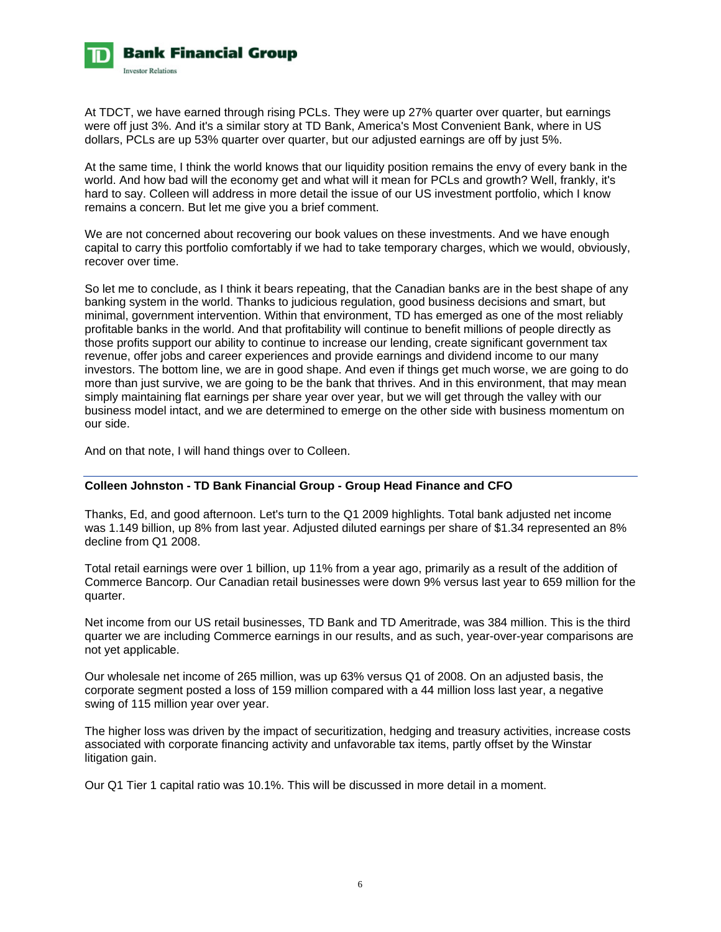

At TDCT, we have earned through rising PCLs. They were up 27% quarter over quarter, but earnings were off just 3%. And it's a similar story at TD Bank, America's Most Convenient Bank, where in US dollars, PCLs are up 53% quarter over quarter, but our adjusted earnings are off by just 5%.

At the same time, I think the world knows that our liquidity position remains the envy of every bank in the world. And how bad will the economy get and what will it mean for PCLs and growth? Well, frankly, it's hard to say. Colleen will address in more detail the issue of our US investment portfolio, which I know remains a concern. But let me give you a brief comment.

We are not concerned about recovering our book values on these investments. And we have enough capital to carry this portfolio comfortably if we had to take temporary charges, which we would, obviously, recover over time.

So let me to conclude, as I think it bears repeating, that the Canadian banks are in the best shape of any banking system in the world. Thanks to judicious regulation, good business decisions and smart, but minimal, government intervention. Within that environment, TD has emerged as one of the most reliably profitable banks in the world. And that profitability will continue to benefit millions of people directly as those profits support our ability to continue to increase our lending, create significant government tax revenue, offer jobs and career experiences and provide earnings and dividend income to our many investors. The bottom line, we are in good shape. And even if things get much worse, we are going to do more than just survive, we are going to be the bank that thrives. And in this environment, that may mean simply maintaining flat earnings per share year over year, but we will get through the valley with our business model intact, and we are determined to emerge on the other side with business momentum on our side.

And on that note, I will hand things over to Colleen.

# **Colleen Johnston - TD Bank Financial Group - Group Head Finance and CFO**

Thanks, Ed, and good afternoon. Let's turn to the Q1 2009 highlights. Total bank adjusted net income was 1.149 billion, up 8% from last year. Adjusted diluted earnings per share of \$1.34 represented an 8% decline from Q1 2008.

Total retail earnings were over 1 billion, up 11% from a year ago, primarily as a result of the addition of Commerce Bancorp. Our Canadian retail businesses were down 9% versus last year to 659 million for the quarter.

Net income from our US retail businesses, TD Bank and TD Ameritrade, was 384 million. This is the third quarter we are including Commerce earnings in our results, and as such, year-over-year comparisons are not yet applicable.

Our wholesale net income of 265 million, was up 63% versus Q1 of 2008. On an adjusted basis, the corporate segment posted a loss of 159 million compared with a 44 million loss last year, a negative swing of 115 million year over year.

The higher loss was driven by the impact of securitization, hedging and treasury activities, increase costs associated with corporate financing activity and unfavorable tax items, partly offset by the Winstar litigation gain.

Our Q1 Tier 1 capital ratio was 10.1%. This will be discussed in more detail in a moment.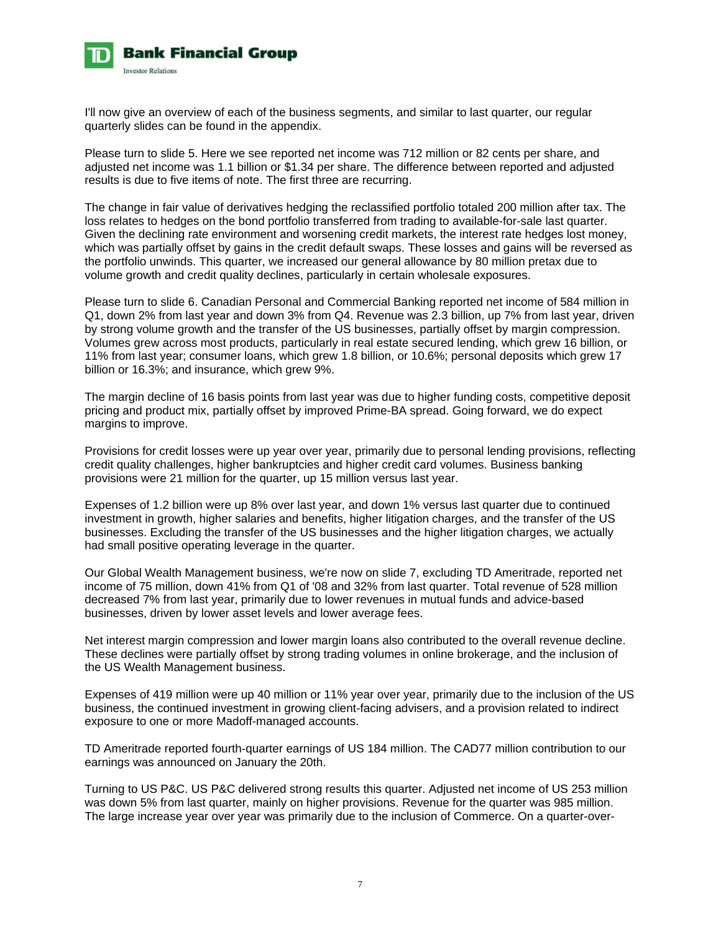

I'll now give an overview of each of the business segments, and similar to last quarter, our regular quarterly slides can be found in the appendix.

Please turn to slide 5. Here we see reported net income was 712 million or 82 cents per share, and adjusted net income was 1.1 billion or \$1.34 per share. The difference between reported and adjusted results is due to five items of note. The first three are recurring.

The change in fair value of derivatives hedging the reclassified portfolio totaled 200 million after tax. The loss relates to hedges on the bond portfolio transferred from trading to available-for-sale last quarter. Given the declining rate environment and worsening credit markets, the interest rate hedges lost money, which was partially offset by gains in the credit default swaps. These losses and gains will be reversed as the portfolio unwinds. This quarter, we increased our general allowance by 80 million pretax due to volume growth and credit quality declines, particularly in certain wholesale exposures.

Please turn to slide 6. Canadian Personal and Commercial Banking reported net income of 584 million in Q1, down 2% from last year and down 3% from Q4. Revenue was 2.3 billion, up 7% from last year, driven by strong volume growth and the transfer of the US businesses, partially offset by margin compression. Volumes grew across most products, particularly in real estate secured lending, which grew 16 billion, or 11% from last year; consumer loans, which grew 1.8 billion, or 10.6%; personal deposits which grew 17 billion or 16.3%; and insurance, which grew 9%.

The margin decline of 16 basis points from last year was due to higher funding costs, competitive deposit pricing and product mix, partially offset by improved Prime-BA spread. Going forward, we do expect margins to improve.

Provisions for credit losses were up year over year, primarily due to personal lending provisions, reflecting credit quality challenges, higher bankruptcies and higher credit card volumes. Business banking provisions were 21 million for the quarter, up 15 million versus last year.

Expenses of 1.2 billion were up 8% over last year, and down 1% versus last quarter due to continued investment in growth, higher salaries and benefits, higher litigation charges, and the transfer of the US businesses. Excluding the transfer of the US businesses and the higher litigation charges, we actually had small positive operating leverage in the quarter.

Our Global Wealth Management business, we're now on slide 7, excluding TD Ameritrade, reported net income of 75 million, down 41% from Q1 of '08 and 32% from last quarter. Total revenue of 528 million decreased 7% from last year, primarily due to lower revenues in mutual funds and advice-based businesses, driven by lower asset levels and lower average fees.

Net interest margin compression and lower margin loans also contributed to the overall revenue decline. These declines were partially offset by strong trading volumes in online brokerage, and the inclusion of the US Wealth Management business.

Expenses of 419 million were up 40 million or 11% year over year, primarily due to the inclusion of the US business, the continued investment in growing client-facing advisers, and a provision related to indirect exposure to one or more Madoff-managed accounts.

TD Ameritrade reported fourth-quarter earnings of US 184 million. The CAD77 million contribution to our earnings was announced on January the 20th.

Turning to US P&C. US P&C delivered strong results this quarter. Adjusted net income of US 253 million was down 5% from last quarter, mainly on higher provisions. Revenue for the quarter was 985 million. The large increase year over year was primarily due to the inclusion of Commerce. On a quarter-over-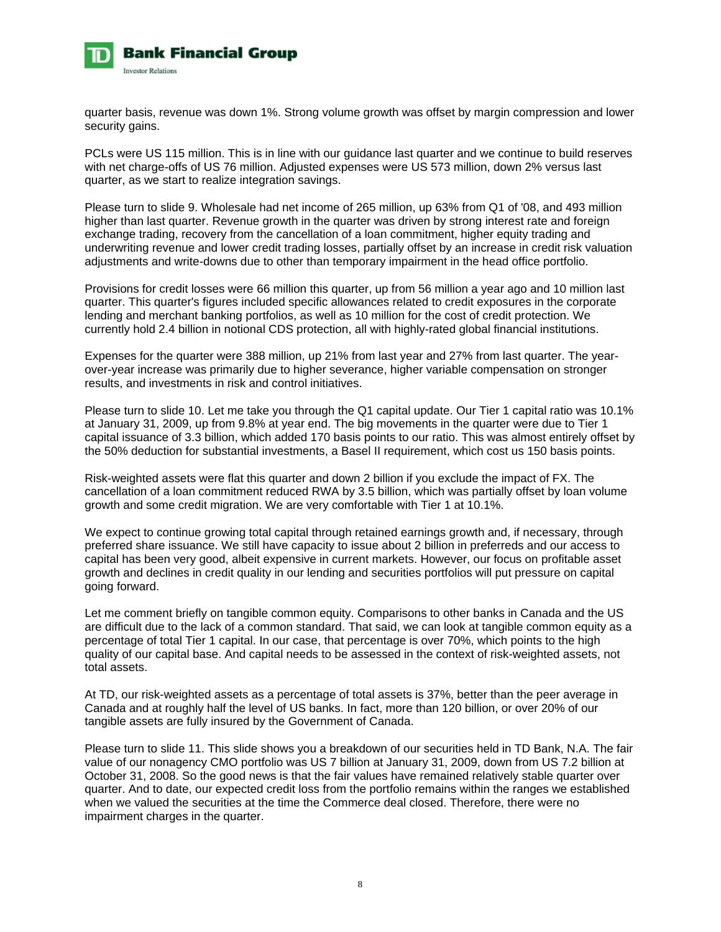

quarter basis, revenue was down 1%. Strong volume growth was offset by margin compression and lower security gains.

PCLs were US 115 million. This is in line with our guidance last quarter and we continue to build reserves with net charge-offs of US 76 million. Adjusted expenses were US 573 million, down 2% versus last quarter, as we start to realize integration savings.

Please turn to slide 9. Wholesale had net income of 265 million, up 63% from Q1 of '08, and 493 million higher than last quarter. Revenue growth in the quarter was driven by strong interest rate and foreign exchange trading, recovery from the cancellation of a loan commitment, higher equity trading and underwriting revenue and lower credit trading losses, partially offset by an increase in credit risk valuation adjustments and write-downs due to other than temporary impairment in the head office portfolio.

Provisions for credit losses were 66 million this quarter, up from 56 million a year ago and 10 million last quarter. This quarter's figures included specific allowances related to credit exposures in the corporate lending and merchant banking portfolios, as well as 10 million for the cost of credit protection. We currently hold 2.4 billion in notional CDS protection, all with highly-rated global financial institutions.

Expenses for the quarter were 388 million, up 21% from last year and 27% from last quarter. The yearover-year increase was primarily due to higher severance, higher variable compensation on stronger results, and investments in risk and control initiatives.

Please turn to slide 10. Let me take you through the Q1 capital update. Our Tier 1 capital ratio was 10.1% at January 31, 2009, up from 9.8% at year end. The big movements in the quarter were due to Tier 1 capital issuance of 3.3 billion, which added 170 basis points to our ratio. This was almost entirely offset by the 50% deduction for substantial investments, a Basel II requirement, which cost us 150 basis points.

Risk-weighted assets were flat this quarter and down 2 billion if you exclude the impact of FX. The cancellation of a loan commitment reduced RWA by 3.5 billion, which was partially offset by loan volume growth and some credit migration. We are very comfortable with Tier 1 at 10.1%.

We expect to continue growing total capital through retained earnings growth and, if necessary, through preferred share issuance. We still have capacity to issue about 2 billion in preferreds and our access to capital has been very good, albeit expensive in current markets. However, our focus on profitable asset growth and declines in credit quality in our lending and securities portfolios will put pressure on capital going forward.

Let me comment briefly on tangible common equity. Comparisons to other banks in Canada and the US are difficult due to the lack of a common standard. That said, we can look at tangible common equity as a percentage of total Tier 1 capital. In our case, that percentage is over 70%, which points to the high quality of our capital base. And capital needs to be assessed in the context of risk-weighted assets, not total assets.

At TD, our risk-weighted assets as a percentage of total assets is 37%, better than the peer average in Canada and at roughly half the level of US banks. In fact, more than 120 billion, or over 20% of our tangible assets are fully insured by the Government of Canada.

Please turn to slide 11. This slide shows you a breakdown of our securities held in TD Bank, N.A. The fair value of our nonagency CMO portfolio was US 7 billion at January 31, 2009, down from US 7.2 billion at October 31, 2008. So the good news is that the fair values have remained relatively stable quarter over quarter. And to date, our expected credit loss from the portfolio remains within the ranges we established when we valued the securities at the time the Commerce deal closed. Therefore, there were no impairment charges in the quarter.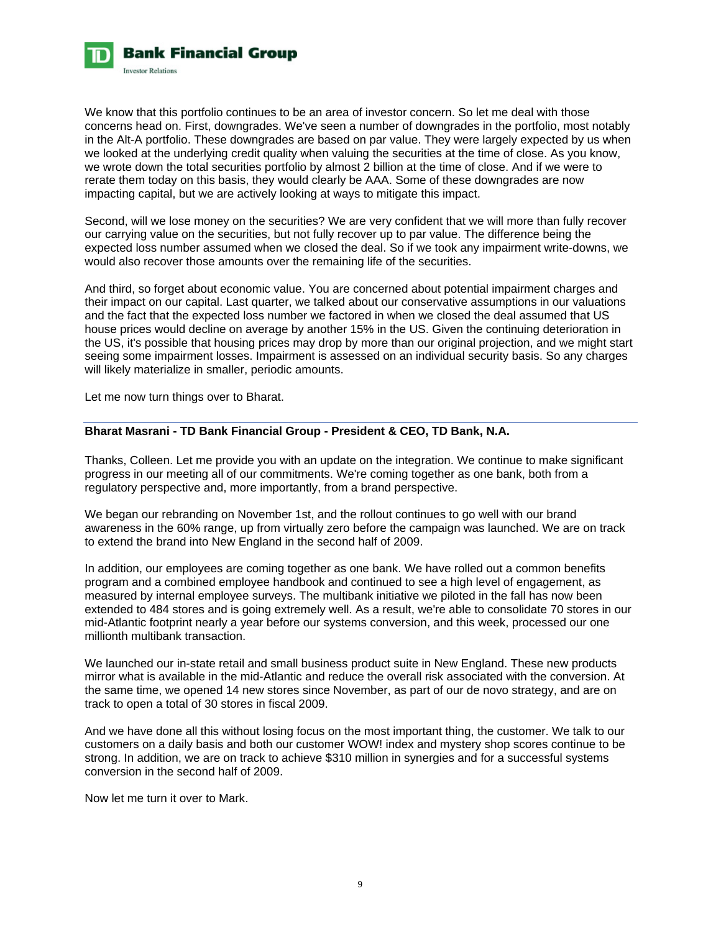

We know that this portfolio continues to be an area of investor concern. So let me deal with those concerns head on. First, downgrades. We've seen a number of downgrades in the portfolio, most notably in the Alt-A portfolio. These downgrades are based on par value. They were largely expected by us when we looked at the underlying credit quality when valuing the securities at the time of close. As you know, we wrote down the total securities portfolio by almost 2 billion at the time of close. And if we were to rerate them today on this basis, they would clearly be AAA. Some of these downgrades are now impacting capital, but we are actively looking at ways to mitigate this impact.

Second, will we lose money on the securities? We are very confident that we will more than fully recover our carrying value on the securities, but not fully recover up to par value. The difference being the expected loss number assumed when we closed the deal. So if we took any impairment write-downs, we would also recover those amounts over the remaining life of the securities.

And third, so forget about economic value. You are concerned about potential impairment charges and their impact on our capital. Last quarter, we talked about our conservative assumptions in our valuations and the fact that the expected loss number we factored in when we closed the deal assumed that US house prices would decline on average by another 15% in the US. Given the continuing deterioration in the US, it's possible that housing prices may drop by more than our original projection, and we might start seeing some impairment losses. Impairment is assessed on an individual security basis. So any charges will likely materialize in smaller, periodic amounts.

Let me now turn things over to Bharat.

# **Bharat Masrani - TD Bank Financial Group - President & CEO, TD Bank, N.A.**

Thanks, Colleen. Let me provide you with an update on the integration. We continue to make significant progress in our meeting all of our commitments. We're coming together as one bank, both from a regulatory perspective and, more importantly, from a brand perspective.

We began our rebranding on November 1st, and the rollout continues to go well with our brand awareness in the 60% range, up from virtually zero before the campaign was launched. We are on track to extend the brand into New England in the second half of 2009.

In addition, our employees are coming together as one bank. We have rolled out a common benefits program and a combined employee handbook and continued to see a high level of engagement, as measured by internal employee surveys. The multibank initiative we piloted in the fall has now been extended to 484 stores and is going extremely well. As a result, we're able to consolidate 70 stores in our mid-Atlantic footprint nearly a year before our systems conversion, and this week, processed our one millionth multibank transaction.

We launched our in-state retail and small business product suite in New England. These new products mirror what is available in the mid-Atlantic and reduce the overall risk associated with the conversion. At the same time, we opened 14 new stores since November, as part of our de novo strategy, and are on track to open a total of 30 stores in fiscal 2009.

And we have done all this without losing focus on the most important thing, the customer. We talk to our customers on a daily basis and both our customer WOW! index and mystery shop scores continue to be strong. In addition, we are on track to achieve \$310 million in synergies and for a successful systems conversion in the second half of 2009.

Now let me turn it over to Mark.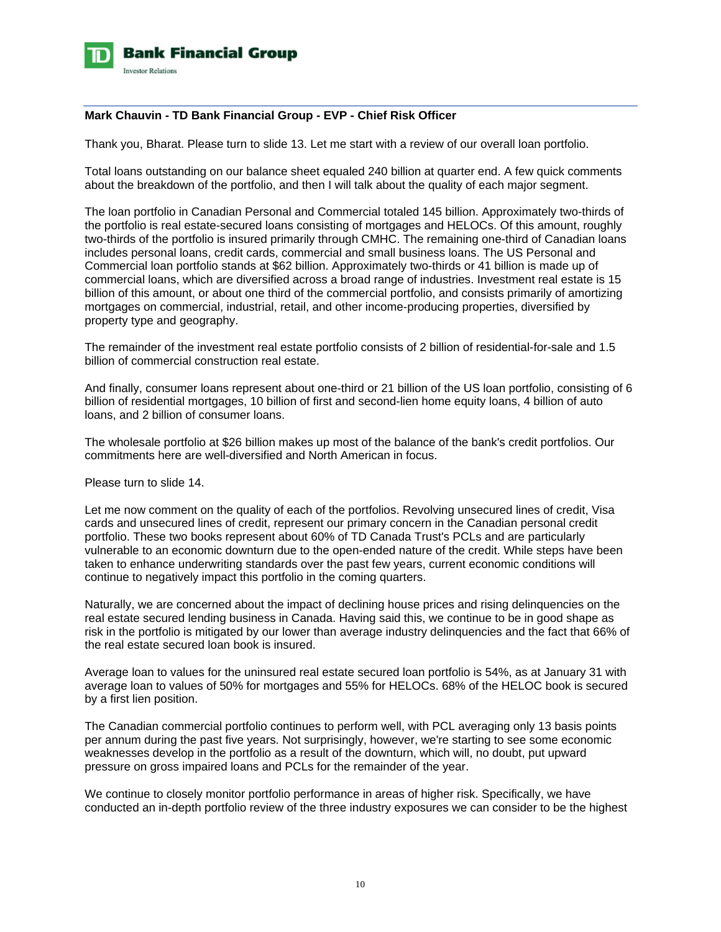

# **Mark Chauvin - TD Bank Financial Group - EVP - Chief Risk Officer**

Thank you, Bharat. Please turn to slide 13. Let me start with a review of our overall loan portfolio.

Total loans outstanding on our balance sheet equaled 240 billion at quarter end. A few quick comments about the breakdown of the portfolio, and then I will talk about the quality of each major segment.

The loan portfolio in Canadian Personal and Commercial totaled 145 billion. Approximately two-thirds of the portfolio is real estate-secured loans consisting of mortgages and HELOCs. Of this amount, roughly two-thirds of the portfolio is insured primarily through CMHC. The remaining one-third of Canadian loans includes personal loans, credit cards, commercial and small business loans. The US Personal and Commercial loan portfolio stands at \$62 billion. Approximately two-thirds or 41 billion is made up of commercial loans, which are diversified across a broad range of industries. Investment real estate is 15 billion of this amount, or about one third of the commercial portfolio, and consists primarily of amortizing mortgages on commercial, industrial, retail, and other income-producing properties, diversified by property type and geography.

The remainder of the investment real estate portfolio consists of 2 billion of residential-for-sale and 1.5 billion of commercial construction real estate.

And finally, consumer loans represent about one-third or 21 billion of the US loan portfolio, consisting of 6 billion of residential mortgages, 10 billion of first and second-lien home equity loans, 4 billion of auto loans, and 2 billion of consumer loans.

The wholesale portfolio at \$26 billion makes up most of the balance of the bank's credit portfolios. Our commitments here are well-diversified and North American in focus.

Please turn to slide 14.

Let me now comment on the quality of each of the portfolios. Revolving unsecured lines of credit, Visa cards and unsecured lines of credit, represent our primary concern in the Canadian personal credit portfolio. These two books represent about 60% of TD Canada Trust's PCLs and are particularly vulnerable to an economic downturn due to the open-ended nature of the credit. While steps have been taken to enhance underwriting standards over the past few years, current economic conditions will continue to negatively impact this portfolio in the coming quarters.

Naturally, we are concerned about the impact of declining house prices and rising delinquencies on the real estate secured lending business in Canada. Having said this, we continue to be in good shape as risk in the portfolio is mitigated by our lower than average industry delinquencies and the fact that 66% of the real estate secured loan book is insured.

Average loan to values for the uninsured real estate secured loan portfolio is 54%, as at January 31 with average loan to values of 50% for mortgages and 55% for HELOCs. 68% of the HELOC book is secured by a first lien position.

The Canadian commercial portfolio continues to perform well, with PCL averaging only 13 basis points per annum during the past five years. Not surprisingly, however, we're starting to see some economic weaknesses develop in the portfolio as a result of the downturn, which will, no doubt, put upward pressure on gross impaired loans and PCLs for the remainder of the year.

We continue to closely monitor portfolio performance in areas of higher risk. Specifically, we have conducted an in-depth portfolio review of the three industry exposures we can consider to be the highest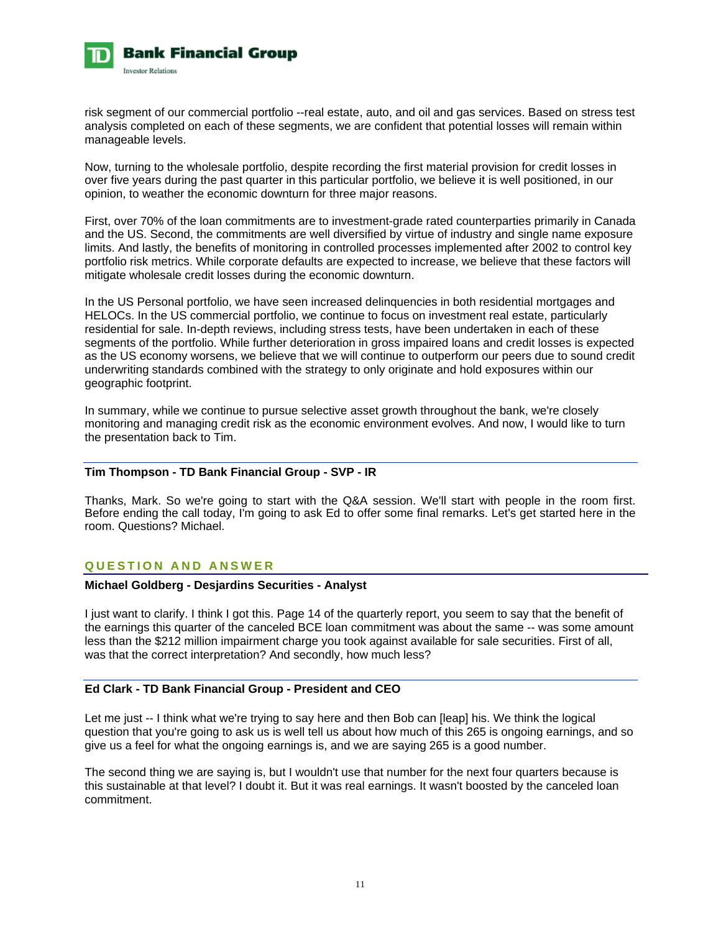

risk segment of our commercial portfolio --real estate, auto, and oil and gas services. Based on stress test analysis completed on each of these segments, we are confident that potential losses will remain within manageable levels.

Now, turning to the wholesale portfolio, despite recording the first material provision for credit losses in over five years during the past quarter in this particular portfolio, we believe it is well positioned, in our opinion, to weather the economic downturn for three major reasons.

First, over 70% of the loan commitments are to investment-grade rated counterparties primarily in Canada and the US. Second, the commitments are well diversified by virtue of industry and single name exposure limits. And lastly, the benefits of monitoring in controlled processes implemented after 2002 to control key portfolio risk metrics. While corporate defaults are expected to increase, we believe that these factors will mitigate wholesale credit losses during the economic downturn.

In the US Personal portfolio, we have seen increased delinquencies in both residential mortgages and HELOCs. In the US commercial portfolio, we continue to focus on investment real estate, particularly residential for sale. In-depth reviews, including stress tests, have been undertaken in each of these segments of the portfolio. While further deterioration in gross impaired loans and credit losses is expected as the US economy worsens, we believe that we will continue to outperform our peers due to sound credit underwriting standards combined with the strategy to only originate and hold exposures within our geographic footprint.

In summary, while we continue to pursue selective asset growth throughout the bank, we're closely monitoring and managing credit risk as the economic environment evolves. And now, I would like to turn the presentation back to Tim.

### **Tim Thompson - TD Bank Financial Group - SVP - IR**

Thanks, Mark. So we're going to start with the Q&A session. We'll start with people in the room first. Before ending the call today, I'm going to ask Ed to offer some final remarks. Let's get started here in the room. Questions? Michael.

# **QUESTION AND ANSWER**

# **Michael Goldberg - Desjardins Securities - Analyst**

I just want to clarify. I think I got this. Page 14 of the quarterly report, you seem to say that the benefit of the earnings this quarter of the canceled BCE loan commitment was about the same -- was some amount less than the \$212 million impairment charge you took against available for sale securities. First of all, was that the correct interpretation? And secondly, how much less?

# **Ed Clark - TD Bank Financial Group - President and CEO**

Let me just -- I think what we're trying to say here and then Bob can [leap] his. We think the logical question that you're going to ask us is well tell us about how much of this 265 is ongoing earnings, and so give us a feel for what the ongoing earnings is, and we are saying 265 is a good number.

The second thing we are saying is, but I wouldn't use that number for the next four quarters because is this sustainable at that level? I doubt it. But it was real earnings. It wasn't boosted by the canceled loan commitment.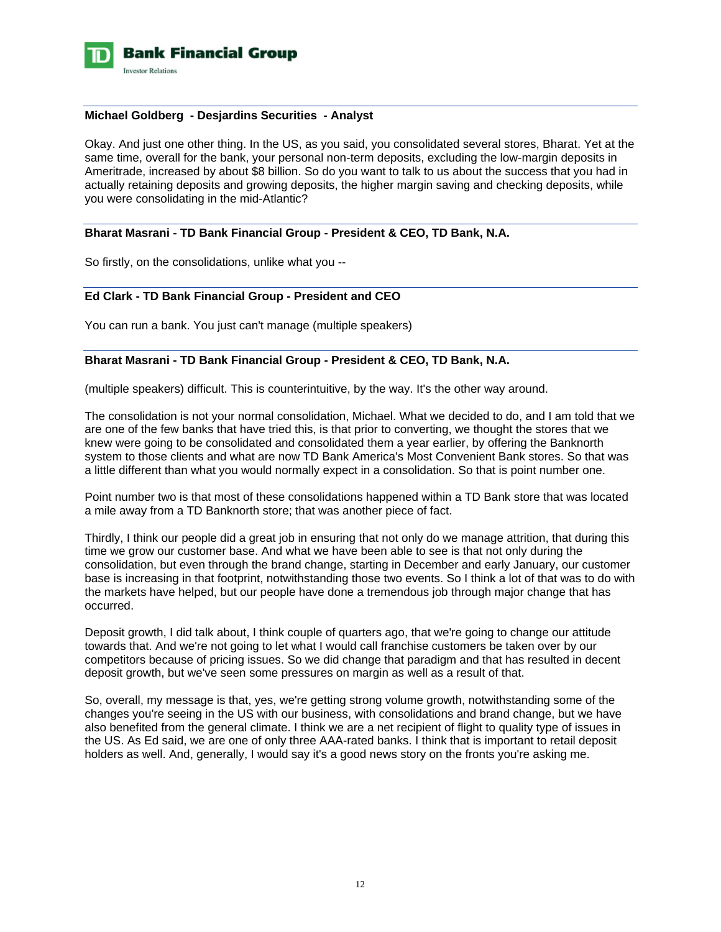

### **Michael Goldberg - Desjardins Securities - Analyst**

Okay. And just one other thing. In the US, as you said, you consolidated several stores, Bharat. Yet at the same time, overall for the bank, your personal non-term deposits, excluding the low-margin deposits in Ameritrade, increased by about \$8 billion. So do you want to talk to us about the success that you had in actually retaining deposits and growing deposits, the higher margin saving and checking deposits, while you were consolidating in the mid-Atlantic?

#### **Bharat Masrani - TD Bank Financial Group - President & CEO, TD Bank, N.A.**

So firstly, on the consolidations, unlike what you --

#### **Ed Clark - TD Bank Financial Group - President and CEO**

You can run a bank. You just can't manage (multiple speakers)

### **Bharat Masrani - TD Bank Financial Group - President & CEO, TD Bank, N.A.**

(multiple speakers) difficult. This is counterintuitive, by the way. It's the other way around.

The consolidation is not your normal consolidation, Michael. What we decided to do, and I am told that we are one of the few banks that have tried this, is that prior to converting, we thought the stores that we knew were going to be consolidated and consolidated them a year earlier, by offering the Banknorth system to those clients and what are now TD Bank America's Most Convenient Bank stores. So that was a little different than what you would normally expect in a consolidation. So that is point number one.

Point number two is that most of these consolidations happened within a TD Bank store that was located a mile away from a TD Banknorth store; that was another piece of fact.

Thirdly, I think our people did a great job in ensuring that not only do we manage attrition, that during this time we grow our customer base. And what we have been able to see is that not only during the consolidation, but even through the brand change, starting in December and early January, our customer base is increasing in that footprint, notwithstanding those two events. So I think a lot of that was to do with the markets have helped, but our people have done a tremendous job through major change that has occurred.

Deposit growth, I did talk about, I think couple of quarters ago, that we're going to change our attitude towards that. And we're not going to let what I would call franchise customers be taken over by our competitors because of pricing issues. So we did change that paradigm and that has resulted in decent deposit growth, but we've seen some pressures on margin as well as a result of that.

So, overall, my message is that, yes, we're getting strong volume growth, notwithstanding some of the changes you're seeing in the US with our business, with consolidations and brand change, but we have also benefited from the general climate. I think we are a net recipient of flight to quality type of issues in the US. As Ed said, we are one of only three AAA-rated banks. I think that is important to retail deposit holders as well. And, generally, I would say it's a good news story on the fronts you're asking me.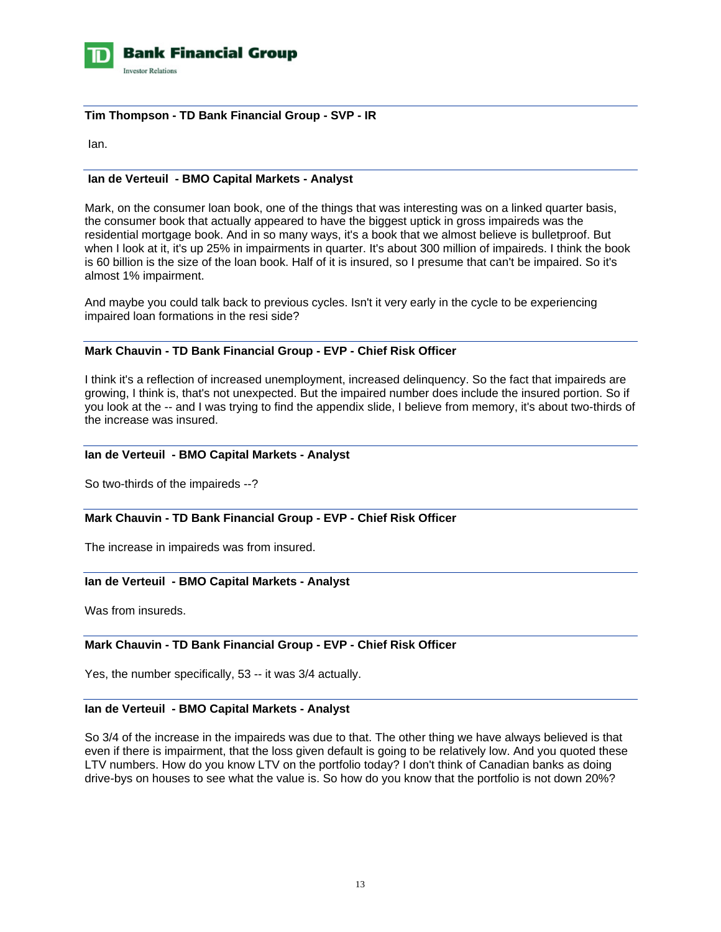

# **Tim Thompson - TD Bank Financial Group - SVP - IR**

Ian.

# **Ian de Verteuil - BMO Capital Markets - Analyst**

Mark, on the consumer loan book, one of the things that was interesting was on a linked quarter basis, the consumer book that actually appeared to have the biggest uptick in gross impaireds was the residential mortgage book. And in so many ways, it's a book that we almost believe is bulletproof. But when I look at it, it's up 25% in impairments in quarter. It's about 300 million of impaireds. I think the book is 60 billion is the size of the loan book. Half of it is insured, so I presume that can't be impaired. So it's almost 1% impairment.

And maybe you could talk back to previous cycles. Isn't it very early in the cycle to be experiencing impaired loan formations in the resi side?

# **Mark Chauvin - TD Bank Financial Group - EVP - Chief Risk Officer**

I think it's a reflection of increased unemployment, increased delinquency. So the fact that impaireds are growing, I think is, that's not unexpected. But the impaired number does include the insured portion. So if you look at the -- and I was trying to find the appendix slide, I believe from memory, it's about two-thirds of the increase was insured.

# **Ian de Verteuil - BMO Capital Markets - Analyst**

So two-thirds of the impaireds --?

# **Mark Chauvin - TD Bank Financial Group - EVP - Chief Risk Officer**

The increase in impaireds was from insured.

# **Ian de Verteuil - BMO Capital Markets - Analyst**

Was from insureds.

# **Mark Chauvin - TD Bank Financial Group - EVP - Chief Risk Officer**

Yes, the number specifically, 53 -- it was 3/4 actually.

# **Ian de Verteuil - BMO Capital Markets - Analyst**

So 3/4 of the increase in the impaireds was due to that. The other thing we have always believed is that even if there is impairment, that the loss given default is going to be relatively low. And you quoted these LTV numbers. How do you know LTV on the portfolio today? I don't think of Canadian banks as doing drive-bys on houses to see what the value is. So how do you know that the portfolio is not down 20%?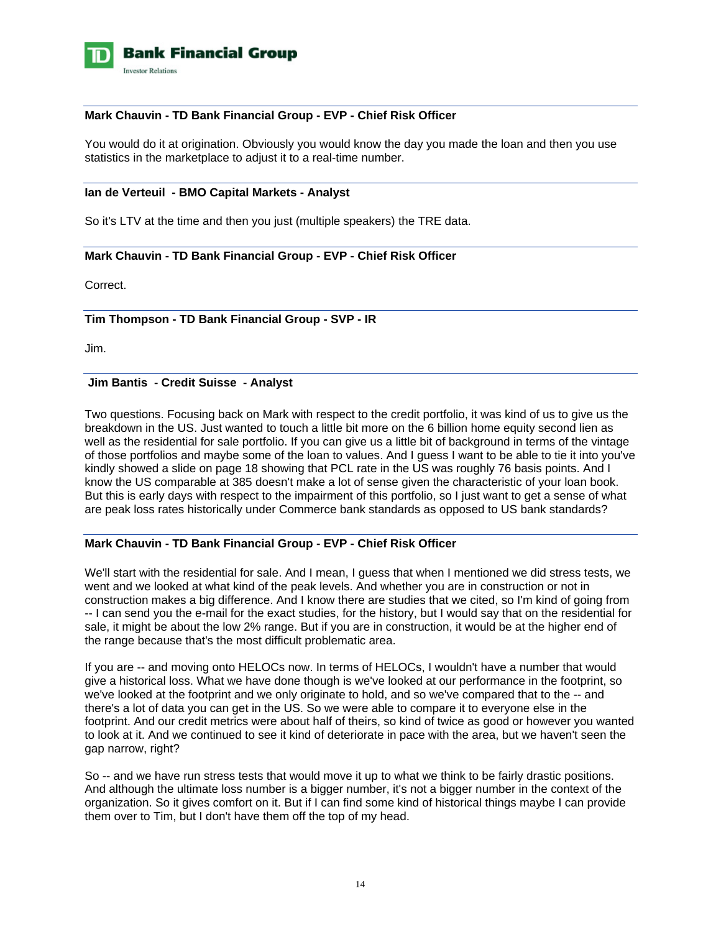

# **Mark Chauvin - TD Bank Financial Group - EVP - Chief Risk Officer**

You would do it at origination. Obviously you would know the day you made the loan and then you use statistics in the marketplace to adjust it to a real-time number.

#### **Ian de Verteuil - BMO Capital Markets - Analyst**

So it's LTV at the time and then you just (multiple speakers) the TRE data.

# **Mark Chauvin - TD Bank Financial Group - EVP - Chief Risk Officer**

Correct.

# **Tim Thompson - TD Bank Financial Group - SVP - IR**

Jim.

# **Jim Bantis - Credit Suisse - Analyst**

Two questions. Focusing back on Mark with respect to the credit portfolio, it was kind of us to give us the breakdown in the US. Just wanted to touch a little bit more on the 6 billion home equity second lien as well as the residential for sale portfolio. If you can give us a little bit of background in terms of the vintage of those portfolios and maybe some of the loan to values. And I guess I want to be able to tie it into you've kindly showed a slide on page 18 showing that PCL rate in the US was roughly 76 basis points. And I know the US comparable at 385 doesn't make a lot of sense given the characteristic of your loan book. But this is early days with respect to the impairment of this portfolio, so I just want to get a sense of what are peak loss rates historically under Commerce bank standards as opposed to US bank standards?

# **Mark Chauvin - TD Bank Financial Group - EVP - Chief Risk Officer**

We'll start with the residential for sale. And I mean, I guess that when I mentioned we did stress tests, we went and we looked at what kind of the peak levels. And whether you are in construction or not in construction makes a big difference. And I know there are studies that we cited, so I'm kind of going from -- I can send you the e-mail for the exact studies, for the history, but I would say that on the residential for sale, it might be about the low 2% range. But if you are in construction, it would be at the higher end of the range because that's the most difficult problematic area.

If you are -- and moving onto HELOCs now. In terms of HELOCs, I wouldn't have a number that would give a historical loss. What we have done though is we've looked at our performance in the footprint, so we've looked at the footprint and we only originate to hold, and so we've compared that to the -- and there's a lot of data you can get in the US. So we were able to compare it to everyone else in the footprint. And our credit metrics were about half of theirs, so kind of twice as good or however you wanted to look at it. And we continued to see it kind of deteriorate in pace with the area, but we haven't seen the gap narrow, right?

So -- and we have run stress tests that would move it up to what we think to be fairly drastic positions. And although the ultimate loss number is a bigger number, it's not a bigger number in the context of the organization. So it gives comfort on it. But if I can find some kind of historical things maybe I can provide them over to Tim, but I don't have them off the top of my head.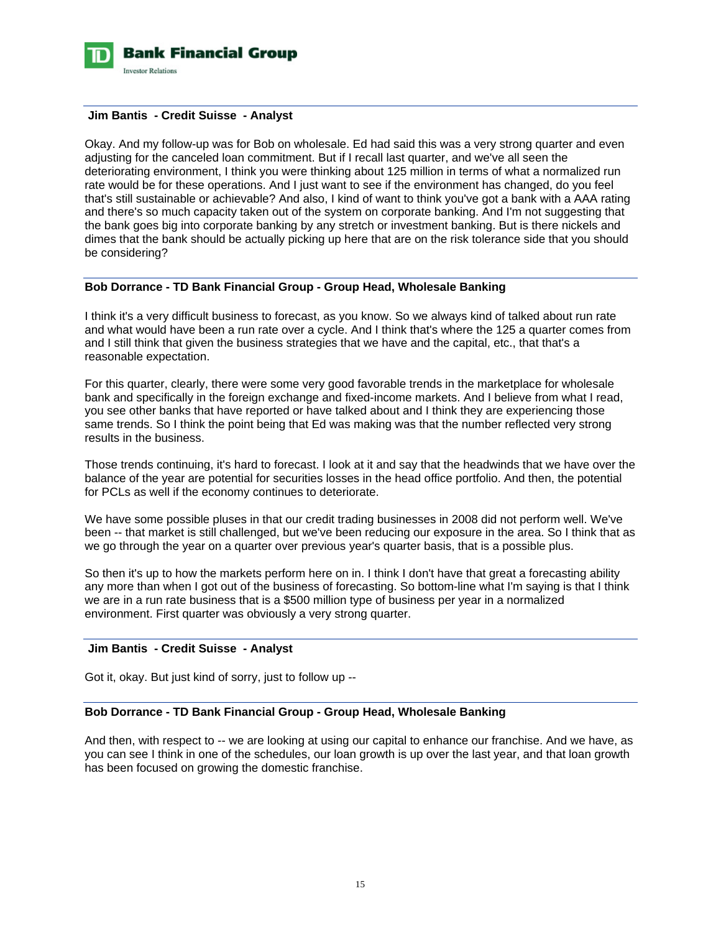

#### **Jim Bantis - Credit Suisse - Analyst**

Okay. And my follow-up was for Bob on wholesale. Ed had said this was a very strong quarter and even adjusting for the canceled loan commitment. But if I recall last quarter, and we've all seen the deteriorating environment, I think you were thinking about 125 million in terms of what a normalized run rate would be for these operations. And I just want to see if the environment has changed, do you feel that's still sustainable or achievable? And also, I kind of want to think you've got a bank with a AAA rating and there's so much capacity taken out of the system on corporate banking. And I'm not suggesting that the bank goes big into corporate banking by any stretch or investment banking. But is there nickels and dimes that the bank should be actually picking up here that are on the risk tolerance side that you should be considering?

# **Bob Dorrance - TD Bank Financial Group - Group Head, Wholesale Banking**

I think it's a very difficult business to forecast, as you know. So we always kind of talked about run rate and what would have been a run rate over a cycle. And I think that's where the 125 a quarter comes from and I still think that given the business strategies that we have and the capital, etc., that that's a reasonable expectation.

For this quarter, clearly, there were some very good favorable trends in the marketplace for wholesale bank and specifically in the foreign exchange and fixed-income markets. And I believe from what I read, you see other banks that have reported or have talked about and I think they are experiencing those same trends. So I think the point being that Ed was making was that the number reflected very strong results in the business.

Those trends continuing, it's hard to forecast. I look at it and say that the headwinds that we have over the balance of the year are potential for securities losses in the head office portfolio. And then, the potential for PCLs as well if the economy continues to deteriorate.

We have some possible pluses in that our credit trading businesses in 2008 did not perform well. We've been -- that market is still challenged, but we've been reducing our exposure in the area. So I think that as we go through the year on a quarter over previous year's quarter basis, that is a possible plus.

So then it's up to how the markets perform here on in. I think I don't have that great a forecasting ability any more than when I got out of the business of forecasting. So bottom-line what I'm saying is that I think we are in a run rate business that is a \$500 million type of business per year in a normalized environment. First quarter was obviously a very strong quarter.

# **Jim Bantis - Credit Suisse - Analyst**

Got it, okay. But just kind of sorry, just to follow up --

# **Bob Dorrance - TD Bank Financial Group - Group Head, Wholesale Banking**

And then, with respect to -- we are looking at using our capital to enhance our franchise. And we have, as you can see I think in one of the schedules, our loan growth is up over the last year, and that loan growth has been focused on growing the domestic franchise.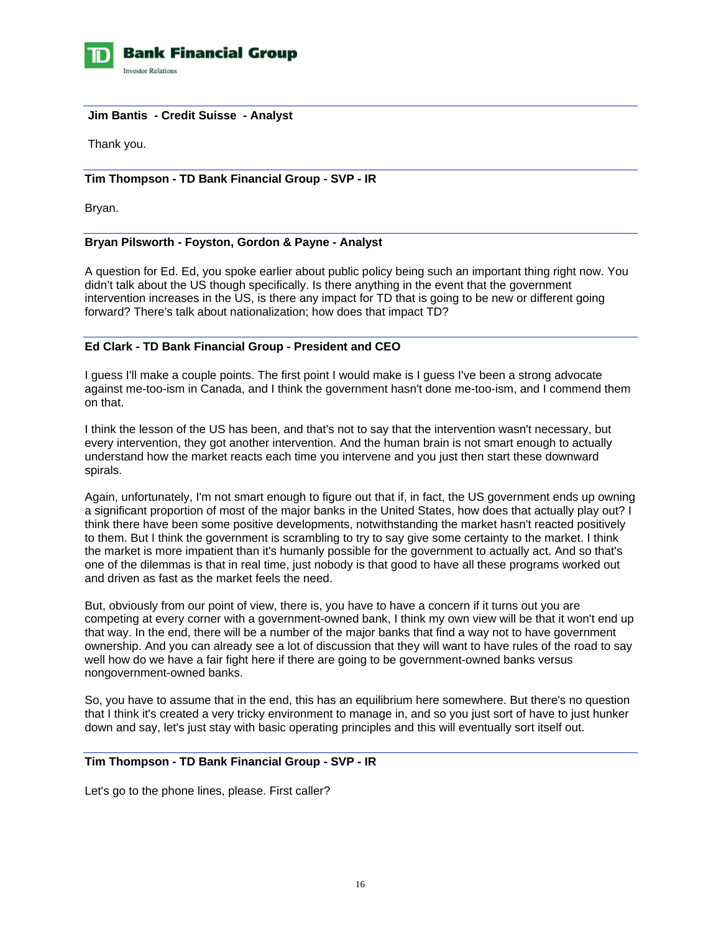

### **Jim Bantis - Credit Suisse - Analyst**

Thank you.

# **Tim Thompson - TD Bank Financial Group - SVP - IR**

Bryan.

# **Bryan Pilsworth - Foyston, Gordon & Payne - Analyst**

A question for Ed. Ed, you spoke earlier about public policy being such an important thing right now. You didn't talk about the US though specifically. Is there anything in the event that the government intervention increases in the US, is there any impact for TD that is going to be new or different going forward? There's talk about nationalization; how does that impact TD?

# **Ed Clark - TD Bank Financial Group - President and CEO**

I guess I'll make a couple points. The first point I would make is I guess I've been a strong advocate against me-too-ism in Canada, and I think the government hasn't done me-too-ism, and I commend them on that.

I think the lesson of the US has been, and that's not to say that the intervention wasn't necessary, but every intervention, they got another intervention. And the human brain is not smart enough to actually understand how the market reacts each time you intervene and you just then start these downward spirals.

Again, unfortunately, I'm not smart enough to figure out that if, in fact, the US government ends up owning a significant proportion of most of the major banks in the United States, how does that actually play out? I think there have been some positive developments, notwithstanding the market hasn't reacted positively to them. But I think the government is scrambling to try to say give some certainty to the market. I think the market is more impatient than it's humanly possible for the government to actually act. And so that's one of the dilemmas is that in real time, just nobody is that good to have all these programs worked out and driven as fast as the market feels the need.

But, obviously from our point of view, there is, you have to have a concern if it turns out you are competing at every corner with a government-owned bank, I think my own view will be that it won't end up that way. In the end, there will be a number of the major banks that find a way not to have government ownership. And you can already see a lot of discussion that they will want to have rules of the road to say well how do we have a fair fight here if there are going to be government-owned banks versus nongovernment-owned banks.

So, you have to assume that in the end, this has an equilibrium here somewhere. But there's no question that I think it's created a very tricky environment to manage in, and so you just sort of have to just hunker down and say, let's just stay with basic operating principles and this will eventually sort itself out.

#### **Tim Thompson - TD Bank Financial Group - SVP - IR**

Let's go to the phone lines, please. First caller?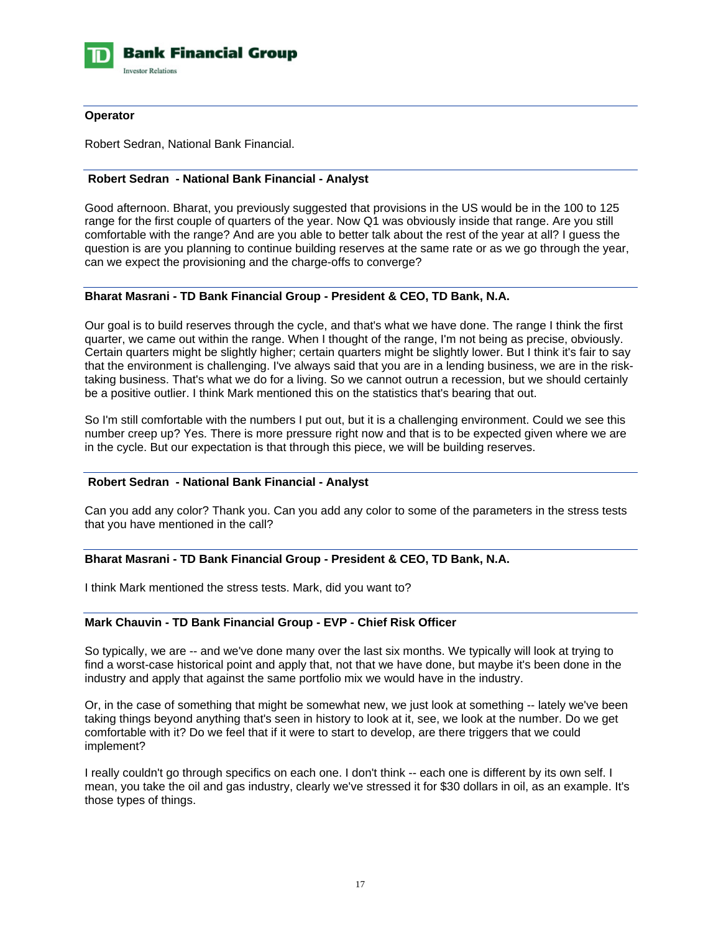

# **Operator**

Robert Sedran, National Bank Financial.

# **Robert Sedran - National Bank Financial - Analyst**

Good afternoon. Bharat, you previously suggested that provisions in the US would be in the 100 to 125 range for the first couple of quarters of the year. Now Q1 was obviously inside that range. Are you still comfortable with the range? And are you able to better talk about the rest of the year at all? I guess the question is are you planning to continue building reserves at the same rate or as we go through the year, can we expect the provisioning and the charge-offs to converge?

# **Bharat Masrani - TD Bank Financial Group - President & CEO, TD Bank, N.A.**

Our goal is to build reserves through the cycle, and that's what we have done. The range I think the first quarter, we came out within the range. When I thought of the range, I'm not being as precise, obviously. Certain quarters might be slightly higher; certain quarters might be slightly lower. But I think it's fair to say that the environment is challenging. I've always said that you are in a lending business, we are in the risktaking business. That's what we do for a living. So we cannot outrun a recession, but we should certainly be a positive outlier. I think Mark mentioned this on the statistics that's bearing that out.

So I'm still comfortable with the numbers I put out, but it is a challenging environment. Could we see this number creep up? Yes. There is more pressure right now and that is to be expected given where we are in the cycle. But our expectation is that through this piece, we will be building reserves.

# **Robert Sedran - National Bank Financial - Analyst**

Can you add any color? Thank you. Can you add any color to some of the parameters in the stress tests that you have mentioned in the call?

# **Bharat Masrani - TD Bank Financial Group - President & CEO, TD Bank, N.A.**

I think Mark mentioned the stress tests. Mark, did you want to?

# **Mark Chauvin - TD Bank Financial Group - EVP - Chief Risk Officer**

So typically, we are -- and we've done many over the last six months. We typically will look at trying to find a worst-case historical point and apply that, not that we have done, but maybe it's been done in the industry and apply that against the same portfolio mix we would have in the industry.

Or, in the case of something that might be somewhat new, we just look at something -- lately we've been taking things beyond anything that's seen in history to look at it, see, we look at the number. Do we get comfortable with it? Do we feel that if it were to start to develop, are there triggers that we could implement?

I really couldn't go through specifics on each one. I don't think -- each one is different by its own self. I mean, you take the oil and gas industry, clearly we've stressed it for \$30 dollars in oil, as an example. It's those types of things.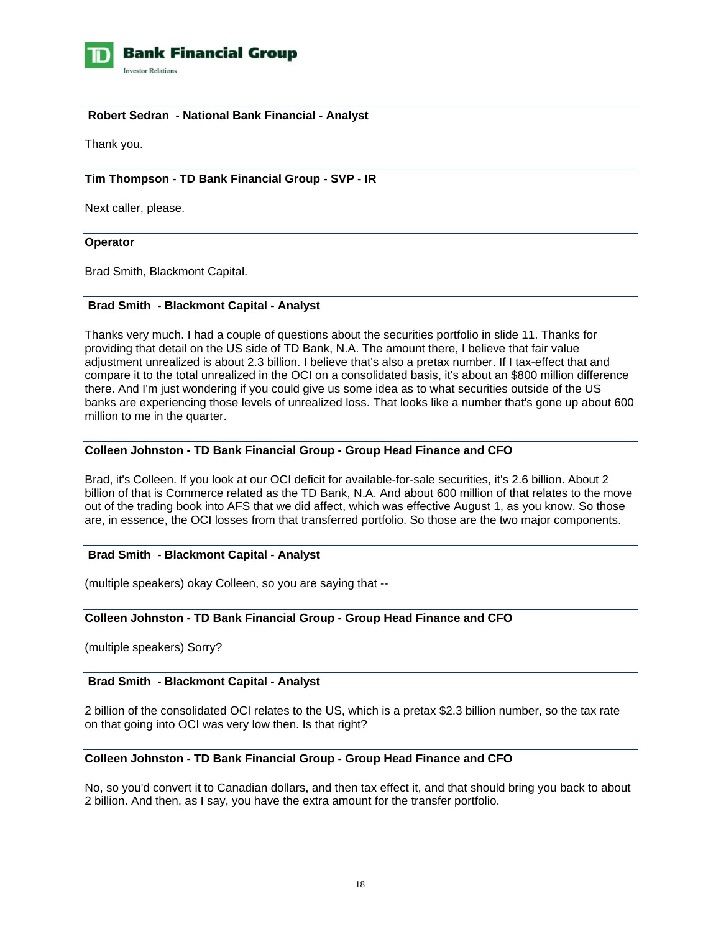

**Bank Financial Group Investor Relations** 

# **Robert Sedran - National Bank Financial - Analyst**

Thank you.

# **Tim Thompson - TD Bank Financial Group - SVP - IR**

Next caller, please.

#### **Operator**

Brad Smith, Blackmont Capital.

#### **Brad Smith - Blackmont Capital - Analyst**

Thanks very much. I had a couple of questions about the securities portfolio in slide 11. Thanks for providing that detail on the US side of TD Bank, N.A. The amount there, I believe that fair value adjustment unrealized is about 2.3 billion. I believe that's also a pretax number. If I tax-effect that and compare it to the total unrealized in the OCI on a consolidated basis, it's about an \$800 million difference there. And I'm just wondering if you could give us some idea as to what securities outside of the US banks are experiencing those levels of unrealized loss. That looks like a number that's gone up about 600 million to me in the quarter.

# **Colleen Johnston - TD Bank Financial Group - Group Head Finance and CFO**

Brad, it's Colleen. If you look at our OCI deficit for available-for-sale securities, it's 2.6 billion. About 2 billion of that is Commerce related as the TD Bank, N.A. And about 600 million of that relates to the move out of the trading book into AFS that we did affect, which was effective August 1, as you know. So those are, in essence, the OCI losses from that transferred portfolio. So those are the two major components.

# **Brad Smith - Blackmont Capital - Analyst**

(multiple speakers) okay Colleen, so you are saying that --

# **Colleen Johnston - TD Bank Financial Group - Group Head Finance and CFO**

(multiple speakers) Sorry?

#### **Brad Smith - Blackmont Capital - Analyst**

2 billion of the consolidated OCI relates to the US, which is a pretax \$2.3 billion number, so the tax rate on that going into OCI was very low then. Is that right?

#### **Colleen Johnston - TD Bank Financial Group - Group Head Finance and CFO**

No, so you'd convert it to Canadian dollars, and then tax effect it, and that should bring you back to about 2 billion. And then, as I say, you have the extra amount for the transfer portfolio.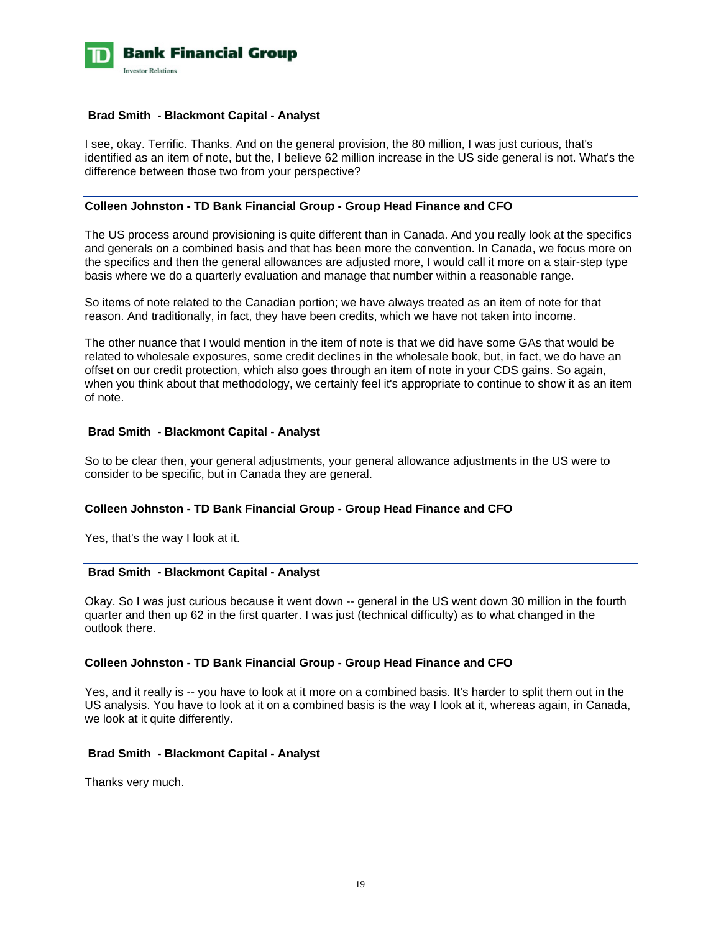

#### **Brad Smith - Blackmont Capital - Analyst**

I see, okay. Terrific. Thanks. And on the general provision, the 80 million, I was just curious, that's identified as an item of note, but the, I believe 62 million increase in the US side general is not. What's the difference between those two from your perspective?

#### **Colleen Johnston - TD Bank Financial Group - Group Head Finance and CFO**

The US process around provisioning is quite different than in Canada. And you really look at the specifics and generals on a combined basis and that has been more the convention. In Canada, we focus more on the specifics and then the general allowances are adjusted more, I would call it more on a stair-step type basis where we do a quarterly evaluation and manage that number within a reasonable range.

So items of note related to the Canadian portion; we have always treated as an item of note for that reason. And traditionally, in fact, they have been credits, which we have not taken into income.

The other nuance that I would mention in the item of note is that we did have some GAs that would be related to wholesale exposures, some credit declines in the wholesale book, but, in fact, we do have an offset on our credit protection, which also goes through an item of note in your CDS gains. So again, when you think about that methodology, we certainly feel it's appropriate to continue to show it as an item of note.

#### **Brad Smith - Blackmont Capital - Analyst**

So to be clear then, your general adjustments, your general allowance adjustments in the US were to consider to be specific, but in Canada they are general.

#### **Colleen Johnston - TD Bank Financial Group - Group Head Finance and CFO**

Yes, that's the way I look at it.

#### **Brad Smith - Blackmont Capital - Analyst**

Okay. So I was just curious because it went down -- general in the US went down 30 million in the fourth quarter and then up 62 in the first quarter. I was just (technical difficulty) as to what changed in the outlook there.

# **Colleen Johnston - TD Bank Financial Group - Group Head Finance and CFO**

Yes, and it really is -- you have to look at it more on a combined basis. It's harder to split them out in the US analysis. You have to look at it on a combined basis is the way I look at it, whereas again, in Canada, we look at it quite differently.

# **Brad Smith - Blackmont Capital - Analyst**

Thanks very much.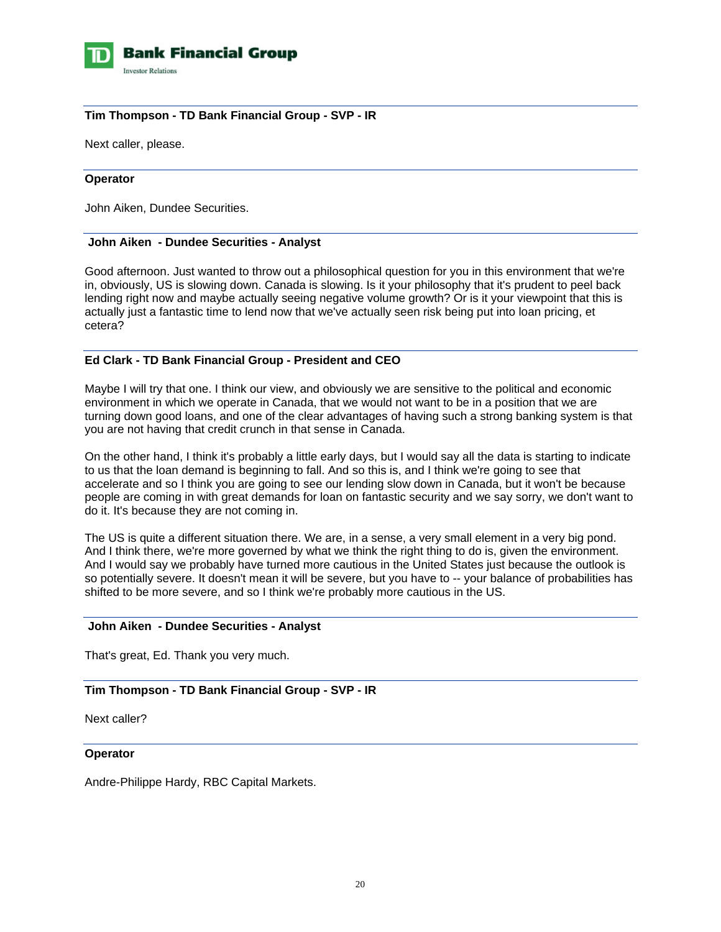

# **Tim Thompson - TD Bank Financial Group - SVP - IR**

Next caller, please.

#### **Operator**

John Aiken, Dundee Securities.

#### **John Aiken - Dundee Securities - Analyst**

Good afternoon. Just wanted to throw out a philosophical question for you in this environment that we're in, obviously, US is slowing down. Canada is slowing. Is it your philosophy that it's prudent to peel back lending right now and maybe actually seeing negative volume growth? Or is it your viewpoint that this is actually just a fantastic time to lend now that we've actually seen risk being put into loan pricing, et cetera?

#### **Ed Clark - TD Bank Financial Group - President and CEO**

Maybe I will try that one. I think our view, and obviously we are sensitive to the political and economic environment in which we operate in Canada, that we would not want to be in a position that we are turning down good loans, and one of the clear advantages of having such a strong banking system is that you are not having that credit crunch in that sense in Canada.

On the other hand, I think it's probably a little early days, but I would say all the data is starting to indicate to us that the loan demand is beginning to fall. And so this is, and I think we're going to see that accelerate and so I think you are going to see our lending slow down in Canada, but it won't be because people are coming in with great demands for loan on fantastic security and we say sorry, we don't want to do it. It's because they are not coming in.

The US is quite a different situation there. We are, in a sense, a very small element in a very big pond. And I think there, we're more governed by what we think the right thing to do is, given the environment. And I would say we probably have turned more cautious in the United States just because the outlook is so potentially severe. It doesn't mean it will be severe, but you have to -- your balance of probabilities has shifted to be more severe, and so I think we're probably more cautious in the US.

#### **John Aiken - Dundee Securities - Analyst**

That's great, Ed. Thank you very much.

# **Tim Thompson - TD Bank Financial Group - SVP - IR**

Next caller?

### **Operator**

Andre-Philippe Hardy, RBC Capital Markets.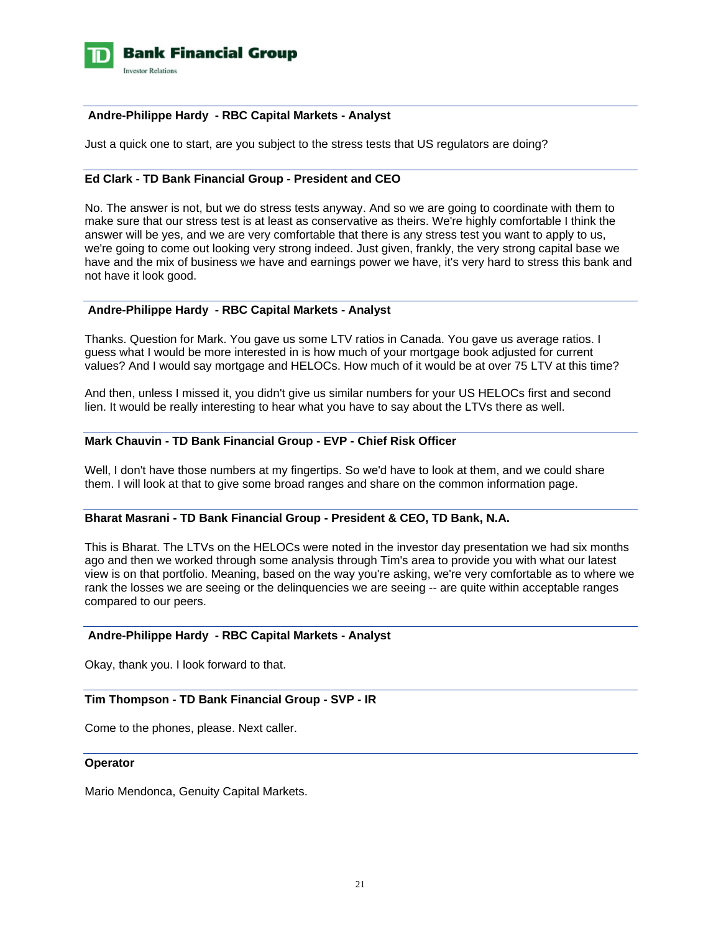

# **Andre-Philippe Hardy - RBC Capital Markets - Analyst**

Just a quick one to start, are you subject to the stress tests that US regulators are doing?

# **Ed Clark - TD Bank Financial Group - President and CEO**

No. The answer is not, but we do stress tests anyway. And so we are going to coordinate with them to make sure that our stress test is at least as conservative as theirs. We're highly comfortable I think the answer will be yes, and we are very comfortable that there is any stress test you want to apply to us, we're going to come out looking very strong indeed. Just given, frankly, the very strong capital base we have and the mix of business we have and earnings power we have, it's very hard to stress this bank and not have it look good.

### **Andre-Philippe Hardy - RBC Capital Markets - Analyst**

Thanks. Question for Mark. You gave us some LTV ratios in Canada. You gave us average ratios. I guess what I would be more interested in is how much of your mortgage book adjusted for current values? And I would say mortgage and HELOCs. How much of it would be at over 75 LTV at this time?

And then, unless I missed it, you didn't give us similar numbers for your US HELOCs first and second lien. It would be really interesting to hear what you have to say about the LTVs there as well.

### **Mark Chauvin - TD Bank Financial Group - EVP - Chief Risk Officer**

Well, I don't have those numbers at my fingertips. So we'd have to look at them, and we could share them. I will look at that to give some broad ranges and share on the common information page.

# **Bharat Masrani - TD Bank Financial Group - President & CEO, TD Bank, N.A.**

This is Bharat. The LTVs on the HELOCs were noted in the investor day presentation we had six months ago and then we worked through some analysis through Tim's area to provide you with what our latest view is on that portfolio. Meaning, based on the way you're asking, we're very comfortable as to where we rank the losses we are seeing or the delinquencies we are seeing -- are quite within acceptable ranges compared to our peers.

# **Andre-Philippe Hardy - RBC Capital Markets - Analyst**

Okay, thank you. I look forward to that.

### **Tim Thompson - TD Bank Financial Group - SVP - IR**

Come to the phones, please. Next caller.

#### **Operator**

Mario Mendonca, Genuity Capital Markets.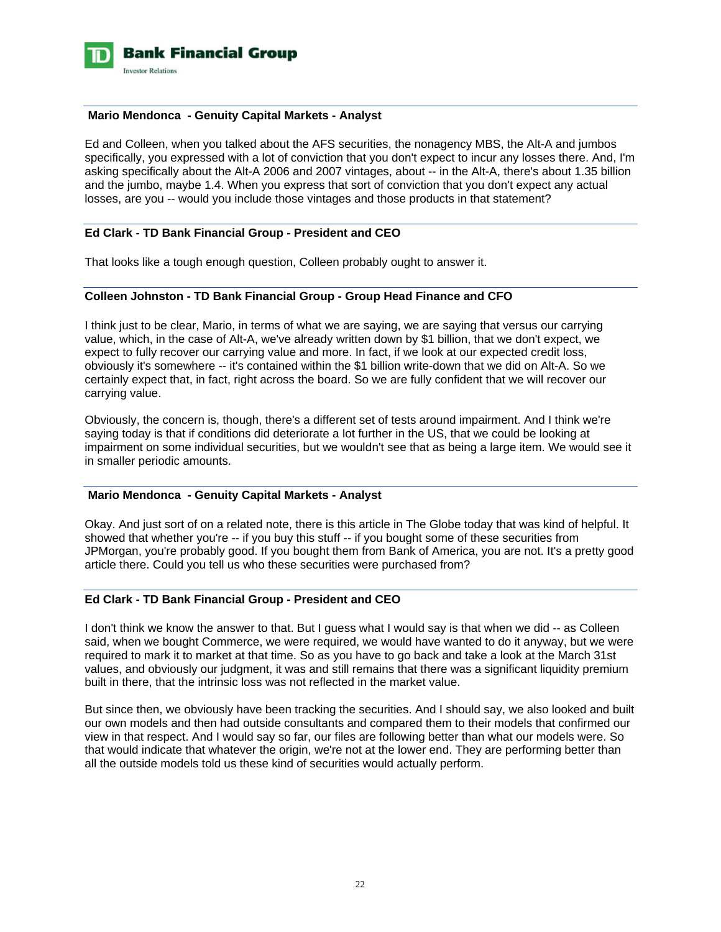

#### **Mario Mendonca - Genuity Capital Markets - Analyst**

Ed and Colleen, when you talked about the AFS securities, the nonagency MBS, the Alt-A and jumbos specifically, you expressed with a lot of conviction that you don't expect to incur any losses there. And, I'm asking specifically about the Alt-A 2006 and 2007 vintages, about -- in the Alt-A, there's about 1.35 billion and the jumbo, maybe 1.4. When you express that sort of conviction that you don't expect any actual losses, are you -- would you include those vintages and those products in that statement?

#### **Ed Clark - TD Bank Financial Group - President and CEO**

That looks like a tough enough question, Colleen probably ought to answer it.

#### **Colleen Johnston - TD Bank Financial Group - Group Head Finance and CFO**

I think just to be clear, Mario, in terms of what we are saying, we are saying that versus our carrying value, which, in the case of Alt-A, we've already written down by \$1 billion, that we don't expect, we expect to fully recover our carrying value and more. In fact, if we look at our expected credit loss, obviously it's somewhere -- it's contained within the \$1 billion write-down that we did on Alt-A. So we certainly expect that, in fact, right across the board. So we are fully confident that we will recover our carrying value.

Obviously, the concern is, though, there's a different set of tests around impairment. And I think we're saying today is that if conditions did deteriorate a lot further in the US, that we could be looking at impairment on some individual securities, but we wouldn't see that as being a large item. We would see it in smaller periodic amounts.

#### **Mario Mendonca - Genuity Capital Markets - Analyst**

Okay. And just sort of on a related note, there is this article in The Globe today that was kind of helpful. It showed that whether you're -- if you buy this stuff -- if you bought some of these securities from JPMorgan, you're probably good. If you bought them from Bank of America, you are not. It's a pretty good article there. Could you tell us who these securities were purchased from?

# **Ed Clark - TD Bank Financial Group - President and CEO**

I don't think we know the answer to that. But I guess what I would say is that when we did -- as Colleen said, when we bought Commerce, we were required, we would have wanted to do it anyway, but we were required to mark it to market at that time. So as you have to go back and take a look at the March 31st values, and obviously our judgment, it was and still remains that there was a significant liquidity premium built in there, that the intrinsic loss was not reflected in the market value.

But since then, we obviously have been tracking the securities. And I should say, we also looked and built our own models and then had outside consultants and compared them to their models that confirmed our view in that respect. And I would say so far, our files are following better than what our models were. So that would indicate that whatever the origin, we're not at the lower end. They are performing better than all the outside models told us these kind of securities would actually perform.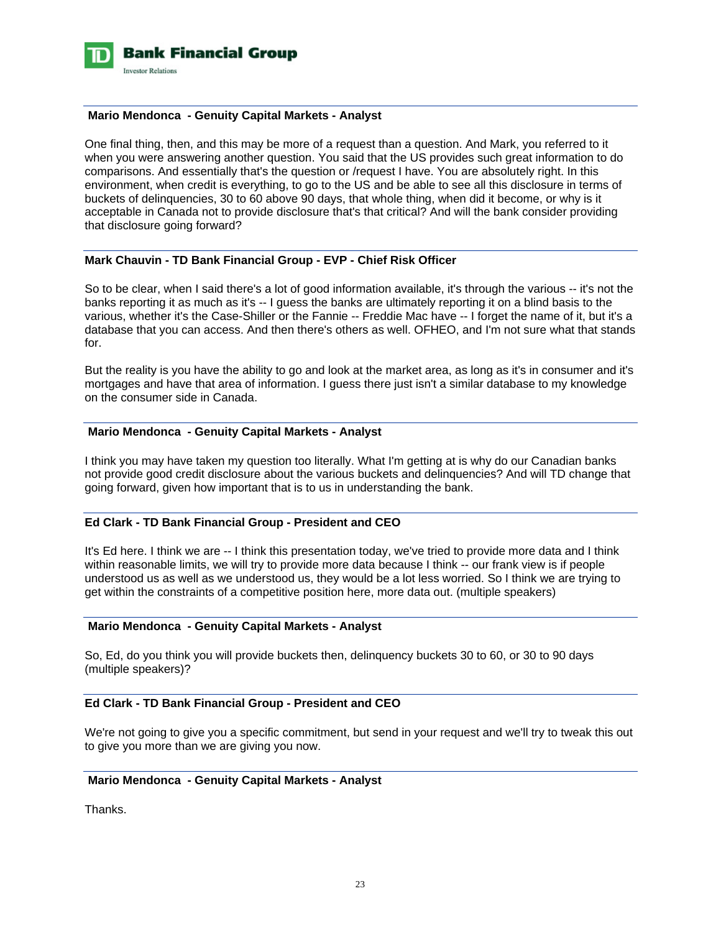

#### **Mario Mendonca - Genuity Capital Markets - Analyst**

One final thing, then, and this may be more of a request than a question. And Mark, you referred to it when you were answering another question. You said that the US provides such great information to do comparisons. And essentially that's the question or /request I have. You are absolutely right. In this environment, when credit is everything, to go to the US and be able to see all this disclosure in terms of buckets of delinquencies, 30 to 60 above 90 days, that whole thing, when did it become, or why is it acceptable in Canada not to provide disclosure that's that critical? And will the bank consider providing that disclosure going forward?

# **Mark Chauvin - TD Bank Financial Group - EVP - Chief Risk Officer**

So to be clear, when I said there's a lot of good information available, it's through the various -- it's not the banks reporting it as much as it's -- I guess the banks are ultimately reporting it on a blind basis to the various, whether it's the Case-Shiller or the Fannie -- Freddie Mac have -- I forget the name of it, but it's a database that you can access. And then there's others as well. OFHEO, and I'm not sure what that stands for.

But the reality is you have the ability to go and look at the market area, as long as it's in consumer and it's mortgages and have that area of information. I guess there just isn't a similar database to my knowledge on the consumer side in Canada.

#### **Mario Mendonca - Genuity Capital Markets - Analyst**

I think you may have taken my question too literally. What I'm getting at is why do our Canadian banks not provide good credit disclosure about the various buckets and delinquencies? And will TD change that going forward, given how important that is to us in understanding the bank.

# **Ed Clark - TD Bank Financial Group - President and CEO**

It's Ed here. I think we are -- I think this presentation today, we've tried to provide more data and I think within reasonable limits, we will try to provide more data because I think -- our frank view is if people understood us as well as we understood us, they would be a lot less worried. So I think we are trying to get within the constraints of a competitive position here, more data out. (multiple speakers)

#### **Mario Mendonca - Genuity Capital Markets - Analyst**

So, Ed, do you think you will provide buckets then, delinquency buckets 30 to 60, or 30 to 90 days (multiple speakers)?

#### **Ed Clark - TD Bank Financial Group - President and CEO**

We're not going to give you a specific commitment, but send in your request and we'll try to tweak this out to give you more than we are giving you now.

### **Mario Mendonca - Genuity Capital Markets - Analyst**

Thanks.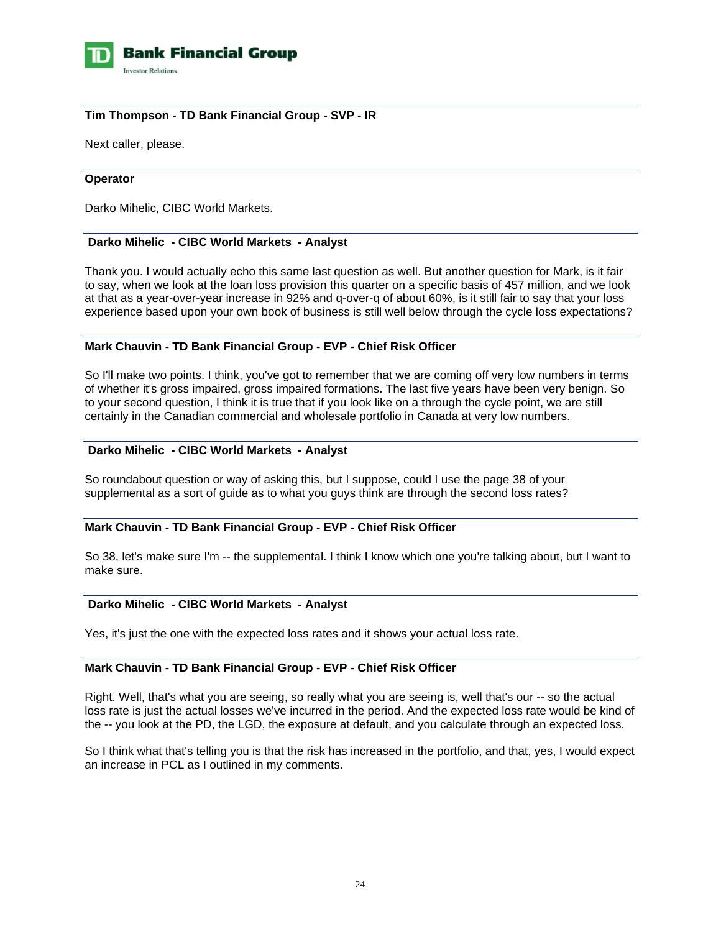

# **Tim Thompson - TD Bank Financial Group - SVP - IR**

Next caller, please.

#### **Operator**

Darko Mihelic, CIBC World Markets.

### **Darko Mihelic - CIBC World Markets - Analyst**

Thank you. I would actually echo this same last question as well. But another question for Mark, is it fair to say, when we look at the loan loss provision this quarter on a specific basis of 457 million, and we look at that as a year-over-year increase in 92% and q-over-q of about 60%, is it still fair to say that your loss experience based upon your own book of business is still well below through the cycle loss expectations?

# **Mark Chauvin - TD Bank Financial Group - EVP - Chief Risk Officer**

So I'll make two points. I think, you've got to remember that we are coming off very low numbers in terms of whether it's gross impaired, gross impaired formations. The last five years have been very benign. So to your second question, I think it is true that if you look like on a through the cycle point, we are still certainly in the Canadian commercial and wholesale portfolio in Canada at very low numbers.

#### **Darko Mihelic - CIBC World Markets - Analyst**

So roundabout question or way of asking this, but I suppose, could I use the page 38 of your supplemental as a sort of guide as to what you guys think are through the second loss rates?

# **Mark Chauvin - TD Bank Financial Group - EVP - Chief Risk Officer**

So 38, let's make sure I'm -- the supplemental. I think I know which one you're talking about, but I want to make sure.

#### **Darko Mihelic - CIBC World Markets - Analyst**

Yes, it's just the one with the expected loss rates and it shows your actual loss rate.

#### **Mark Chauvin - TD Bank Financial Group - EVP - Chief Risk Officer**

Right. Well, that's what you are seeing, so really what you are seeing is, well that's our -- so the actual loss rate is just the actual losses we've incurred in the period. And the expected loss rate would be kind of the -- you look at the PD, the LGD, the exposure at default, and you calculate through an expected loss.

So I think what that's telling you is that the risk has increased in the portfolio, and that, yes, I would expect an increase in PCL as I outlined in my comments.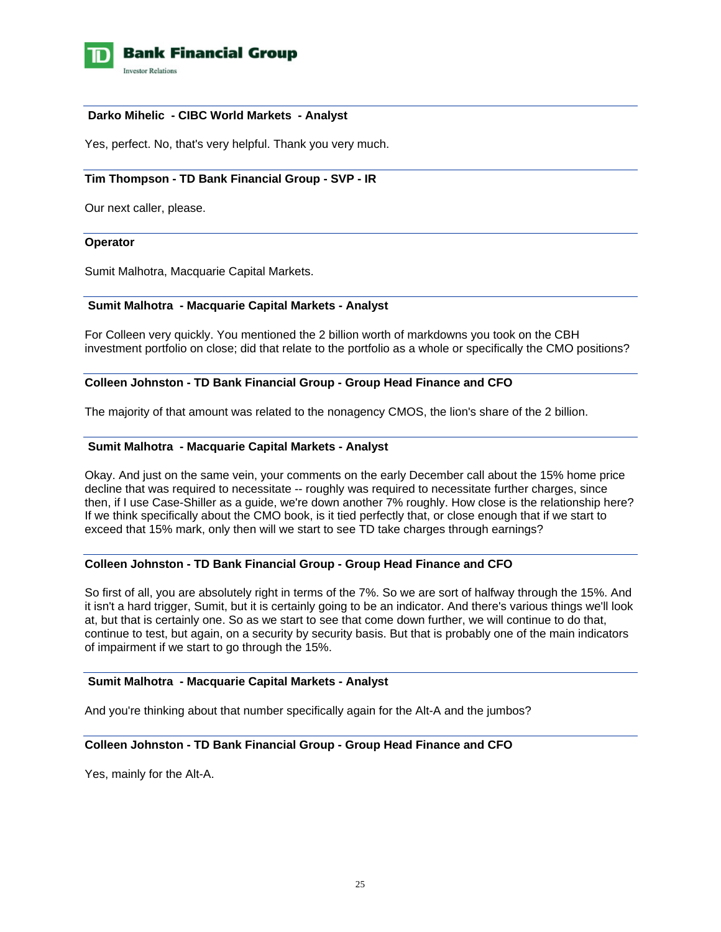

### **Darko Mihelic - CIBC World Markets - Analyst**

Yes, perfect. No, that's very helpful. Thank you very much.

# **Tim Thompson - TD Bank Financial Group - SVP - IR**

Our next caller, please.

#### **Operator**

Sumit Malhotra, Macquarie Capital Markets.

# **Sumit Malhotra - Macquarie Capital Markets - Analyst**

For Colleen very quickly. You mentioned the 2 billion worth of markdowns you took on the CBH investment portfolio on close; did that relate to the portfolio as a whole or specifically the CMO positions?

#### **Colleen Johnston - TD Bank Financial Group - Group Head Finance and CFO**

The majority of that amount was related to the nonagency CMOS, the lion's share of the 2 billion.

# **Sumit Malhotra - Macquarie Capital Markets - Analyst**

Okay. And just on the same vein, your comments on the early December call about the 15% home price decline that was required to necessitate -- roughly was required to necessitate further charges, since then, if I use Case-Shiller as a guide, we're down another 7% roughly. How close is the relationship here? If we think specifically about the CMO book, is it tied perfectly that, or close enough that if we start to exceed that 15% mark, only then will we start to see TD take charges through earnings?

# **Colleen Johnston - TD Bank Financial Group - Group Head Finance and CFO**

So first of all, you are absolutely right in terms of the 7%. So we are sort of halfway through the 15%. And it isn't a hard trigger, Sumit, but it is certainly going to be an indicator. And there's various things we'll look at, but that is certainly one. So as we start to see that come down further, we will continue to do that, continue to test, but again, on a security by security basis. But that is probably one of the main indicators of impairment if we start to go through the 15%.

### **Sumit Malhotra - Macquarie Capital Markets - Analyst**

And you're thinking about that number specifically again for the Alt-A and the jumbos?

# **Colleen Johnston - TD Bank Financial Group - Group Head Finance and CFO**

Yes, mainly for the Alt-A.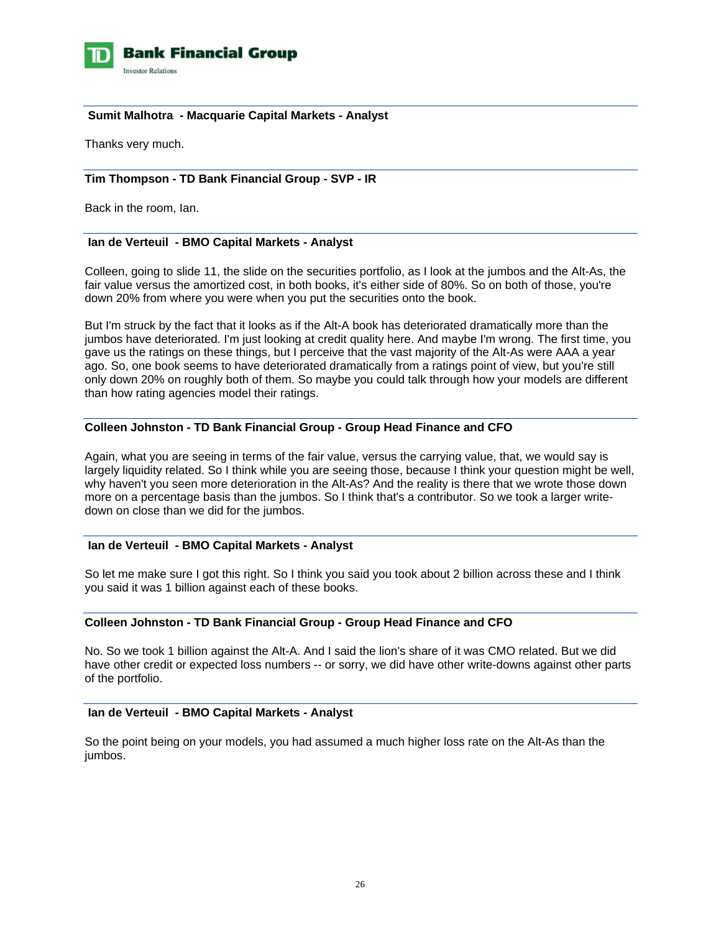

# **Sumit Malhotra - Macquarie Capital Markets - Analyst**

Thanks very much.

# **Tim Thompson - TD Bank Financial Group - SVP - IR**

Back in the room, Ian.

# **Ian de Verteuil - BMO Capital Markets - Analyst**

Colleen, going to slide 11, the slide on the securities portfolio, as I look at the jumbos and the Alt-As, the fair value versus the amortized cost, in both books, it's either side of 80%. So on both of those, you're down 20% from where you were when you put the securities onto the book.

But I'm struck by the fact that it looks as if the Alt-A book has deteriorated dramatically more than the jumbos have deteriorated. I'm just looking at credit quality here. And maybe I'm wrong. The first time, you gave us the ratings on these things, but I perceive that the vast majority of the Alt-As were AAA a year ago. So, one book seems to have deteriorated dramatically from a ratings point of view, but you're still only down 20% on roughly both of them. So maybe you could talk through how your models are different than how rating agencies model their ratings.

# **Colleen Johnston - TD Bank Financial Group - Group Head Finance and CFO**

Again, what you are seeing in terms of the fair value, versus the carrying value, that, we would say is largely liquidity related. So I think while you are seeing those, because I think your question might be well, why haven't you seen more deterioration in the Alt-As? And the reality is there that we wrote those down more on a percentage basis than the jumbos. So I think that's a contributor. So we took a larger writedown on close than we did for the jumbos.

# **Ian de Verteuil - BMO Capital Markets - Analyst**

So let me make sure I got this right. So I think you said you took about 2 billion across these and I think you said it was 1 billion against each of these books.

#### **Colleen Johnston - TD Bank Financial Group - Group Head Finance and CFO**

No. So we took 1 billion against the Alt-A. And I said the lion's share of it was CMO related. But we did have other credit or expected loss numbers -- or sorry, we did have other write-downs against other parts of the portfolio.

### **Ian de Verteuil - BMO Capital Markets - Analyst**

So the point being on your models, you had assumed a much higher loss rate on the Alt-As than the jumbos.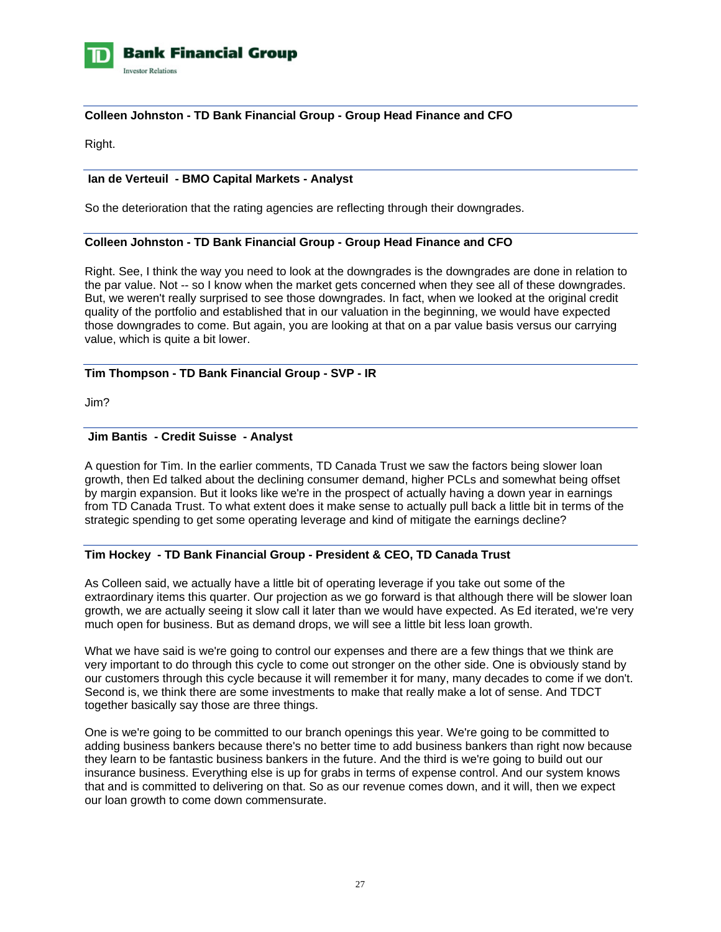

# **Colleen Johnston - TD Bank Financial Group - Group Head Finance and CFO**

Right.

# **Ian de Verteuil - BMO Capital Markets - Analyst**

So the deterioration that the rating agencies are reflecting through their downgrades.

# **Colleen Johnston - TD Bank Financial Group - Group Head Finance and CFO**

Right. See, I think the way you need to look at the downgrades is the downgrades are done in relation to the par value. Not -- so I know when the market gets concerned when they see all of these downgrades. But, we weren't really surprised to see those downgrades. In fact, when we looked at the original credit quality of the portfolio and established that in our valuation in the beginning, we would have expected those downgrades to come. But again, you are looking at that on a par value basis versus our carrying value, which is quite a bit lower.

# **Tim Thompson - TD Bank Financial Group - SVP - IR**

Jim?

#### **Jim Bantis - Credit Suisse - Analyst**

A question for Tim. In the earlier comments, TD Canada Trust we saw the factors being slower loan growth, then Ed talked about the declining consumer demand, higher PCLs and somewhat being offset by margin expansion. But it looks like we're in the prospect of actually having a down year in earnings from TD Canada Trust. To what extent does it make sense to actually pull back a little bit in terms of the strategic spending to get some operating leverage and kind of mitigate the earnings decline?

# **Tim Hockey - TD Bank Financial Group - President & CEO, TD Canada Trust**

As Colleen said, we actually have a little bit of operating leverage if you take out some of the extraordinary items this quarter. Our projection as we go forward is that although there will be slower loan growth, we are actually seeing it slow call it later than we would have expected. As Ed iterated, we're very much open for business. But as demand drops, we will see a little bit less loan growth.

What we have said is we're going to control our expenses and there are a few things that we think are very important to do through this cycle to come out stronger on the other side. One is obviously stand by our customers through this cycle because it will remember it for many, many decades to come if we don't. Second is, we think there are some investments to make that really make a lot of sense. And TDCT together basically say those are three things.

One is we're going to be committed to our branch openings this year. We're going to be committed to adding business bankers because there's no better time to add business bankers than right now because they learn to be fantastic business bankers in the future. And the third is we're going to build out our insurance business. Everything else is up for grabs in terms of expense control. And our system knows that and is committed to delivering on that. So as our revenue comes down, and it will, then we expect our loan growth to come down commensurate.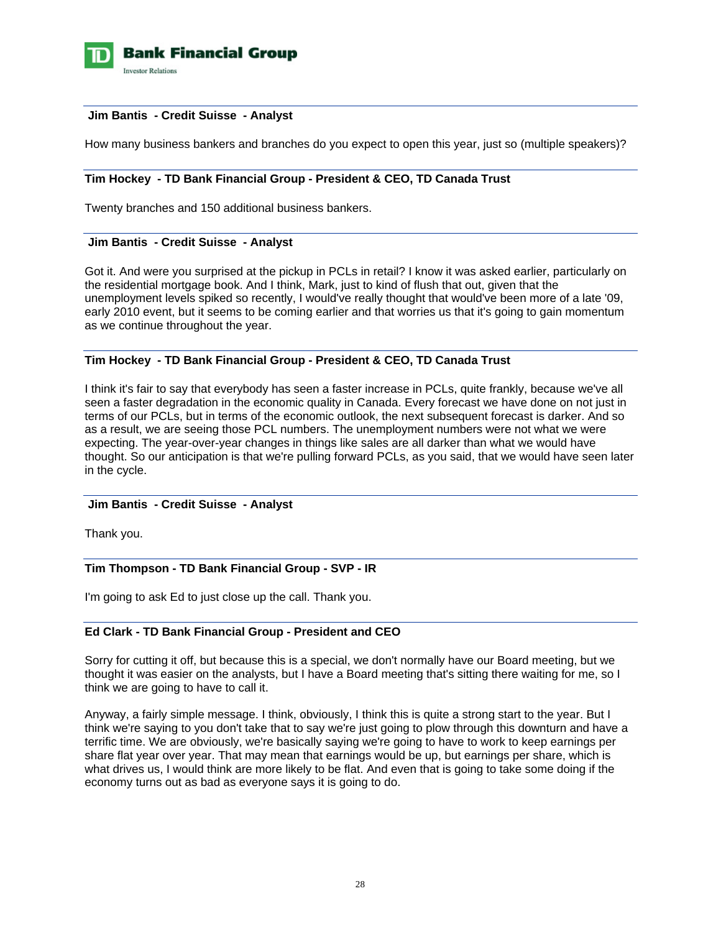

### **Jim Bantis - Credit Suisse - Analyst**

How many business bankers and branches do you expect to open this year, just so (multiple speakers)?

# **Tim Hockey - TD Bank Financial Group - President & CEO, TD Canada Trust**

Twenty branches and 150 additional business bankers.

#### **Jim Bantis - Credit Suisse - Analyst**

Got it. And were you surprised at the pickup in PCLs in retail? I know it was asked earlier, particularly on the residential mortgage book. And I think, Mark, just to kind of flush that out, given that the unemployment levels spiked so recently, I would've really thought that would've been more of a late '09, early 2010 event, but it seems to be coming earlier and that worries us that it's going to gain momentum as we continue throughout the year.

#### **Tim Hockey - TD Bank Financial Group - President & CEO, TD Canada Trust**

I think it's fair to say that everybody has seen a faster increase in PCLs, quite frankly, because we've all seen a faster degradation in the economic quality in Canada. Every forecast we have done on not just in terms of our PCLs, but in terms of the economic outlook, the next subsequent forecast is darker. And so as a result, we are seeing those PCL numbers. The unemployment numbers were not what we were expecting. The year-over-year changes in things like sales are all darker than what we would have thought. So our anticipation is that we're pulling forward PCLs, as you said, that we would have seen later in the cycle.

# **Jim Bantis - Credit Suisse - Analyst**

Thank you.

# **Tim Thompson - TD Bank Financial Group - SVP - IR**

I'm going to ask Ed to just close up the call. Thank you.

# **Ed Clark - TD Bank Financial Group - President and CEO**

Sorry for cutting it off, but because this is a special, we don't normally have our Board meeting, but we thought it was easier on the analysts, but I have a Board meeting that's sitting there waiting for me, so I think we are going to have to call it.

Anyway, a fairly simple message. I think, obviously, I think this is quite a strong start to the year. But I think we're saying to you don't take that to say we're just going to plow through this downturn and have a terrific time. We are obviously, we're basically saying we're going to have to work to keep earnings per share flat year over year. That may mean that earnings would be up, but earnings per share, which is what drives us, I would think are more likely to be flat. And even that is going to take some doing if the economy turns out as bad as everyone says it is going to do.